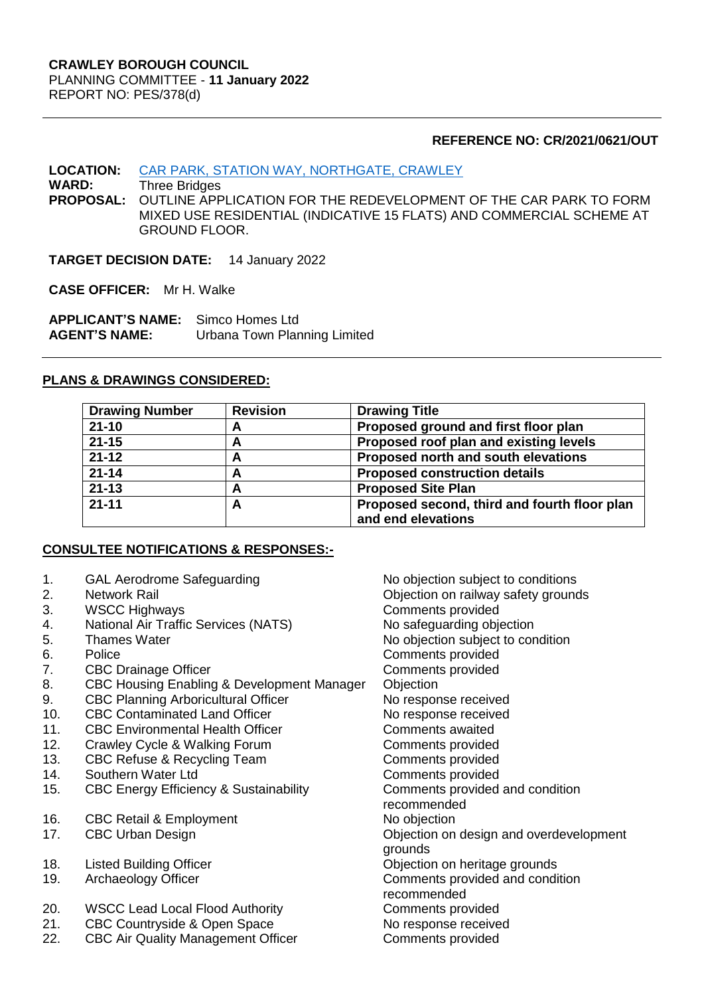#### **REFERENCE NO: CR/2021/0621/OUT**

#### **LOCATION:** [CAR PARK, STATION WAY, NORTHGATE, CRAWLEY](https://planningregister.crawley.gov.uk/Planning/Display/CR/2021/0621/OUT#SupportingDocumentsTab)

**WARD:** Three Bridges OUTLINE APPLICATION FOR THE REDEVELOPMENT OF THE CAR PARK TO FORM MIXED USE RESIDENTIAL (INDICATIVE 15 FLATS) AND COMMERCIAL SCHEME AT GROUND FLOOR.

**TARGET DECISION DATE:** 14 January 2022

**CASE OFFICER:** Mr H. Walke

**APPLICANT'S NAME:** Simco Homes Ltd **AGENT'S NAME:** Urbana Town Planning Limited

#### **PLANS & DRAWINGS CONSIDERED:**

| <b>Drawing Number</b> | <b>Revision</b> | <b>Drawing Title</b>                                               |
|-----------------------|-----------------|--------------------------------------------------------------------|
| $21 - 10$             | A               | Proposed ground and first floor plan                               |
| $21 - 15$             | A               | Proposed roof plan and existing levels                             |
| $21 - 12$             | A               | Proposed north and south elevations                                |
| $21 - 14$             | A               | <b>Proposed construction details</b>                               |
| $21 - 13$             | A               | <b>Proposed Site Plan</b>                                          |
| $21 - 11$             | A               | Proposed second, third and fourth floor plan<br>and end elevations |

# **CONSULTEE NOTIFICATIONS & RESPONSES:-**

- 1. GAL Aerodrome Safeguarding The No objection subject to conditions
- 
- 3. WSCC Highways Comments provided
- 4. National Air Traffic Services (NATS) No safeguarding objection
- 
- 
- 7. CBC Drainage Officer Comments provided
- 8. CBC Housing Enabling & Development Manager Objection
- 9. CBC Planning Arboricultural Officer No response received
- 10. CBC Contaminated Land Officer No response received
- 11. CBC Environmental Health Officer **Comments awaited**
- 12. Crawley Cycle & Walking Forum Comments provided
- 13. CBC Refuse & Recycling Team Comments provided
- 14. Southern Water Ltd Comments provided
- 15. CBC Energy Efficiency & Sustainability Comments provided and condition
- 16. CBC Retail & Employment No objection
- 
- 
- 
- 20. WSCC Lead Local Flood Authority Comments provided
- 21. CBC Countryside & Open Space No response received
- 22. CBC Air Quality Management Officer Comments provided

2. Network Rail Objection on railway safety grounds 5. Thames Water **No objection** subject to condition 6. Police Comments provided recommended 17. CBC Urban Design **CBC Urban Design CEC CEC CECCE** Objection on design and overdevelopment grounds 18. Listed Building Officer **Constructed Example 20** Objection on heritage grounds 19. Archaeology Officer **Comments provided and condition** recommended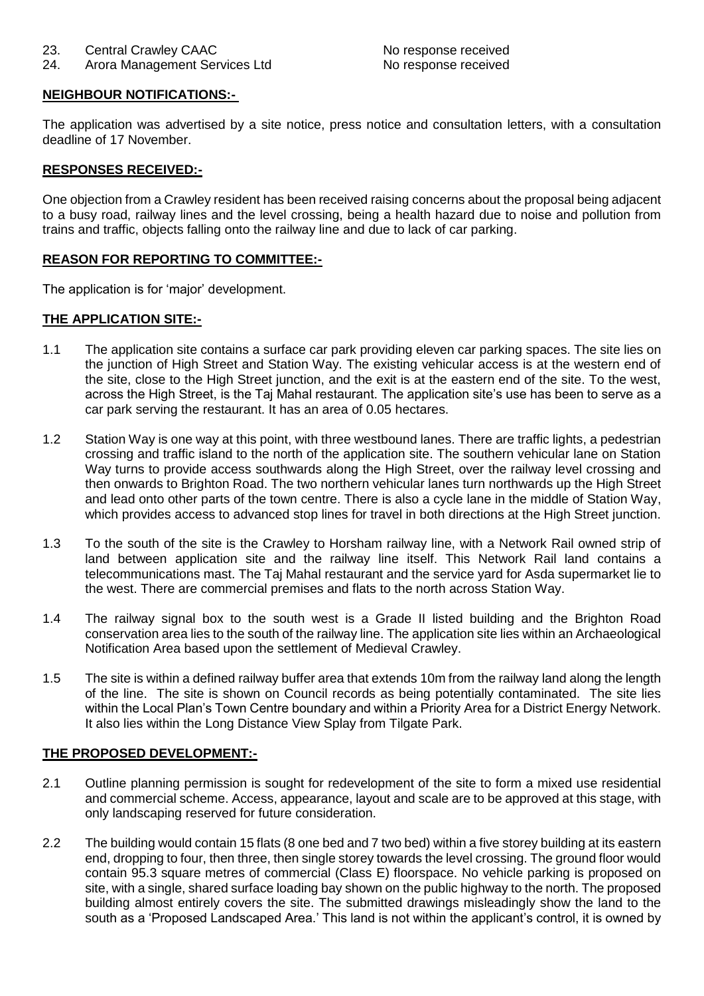# **NEIGHBOUR NOTIFICATIONS:-**

The application was advertised by a site notice, press notice and consultation letters, with a consultation deadline of 17 November.

# **RESPONSES RECEIVED:-**

One objection from a Crawley resident has been received raising concerns about the proposal being adjacent to a busy road, railway lines and the level crossing, being a health hazard due to noise and pollution from trains and traffic, objects falling onto the railway line and due to lack of car parking.

# **REASON FOR REPORTING TO COMMITTEE:-**

The application is for 'major' development.

# **THE APPLICATION SITE:-**

- 1.1 The application site contains a surface car park providing eleven car parking spaces. The site lies on the junction of High Street and Station Way. The existing vehicular access is at the western end of the site, close to the High Street junction, and the exit is at the eastern end of the site. To the west, across the High Street, is the Taj Mahal restaurant. The application site's use has been to serve as a car park serving the restaurant. It has an area of 0.05 hectares.
- 1.2 Station Way is one way at this point, with three westbound lanes. There are traffic lights, a pedestrian crossing and traffic island to the north of the application site. The southern vehicular lane on Station Way turns to provide access southwards along the High Street, over the railway level crossing and then onwards to Brighton Road. The two northern vehicular lanes turn northwards up the High Street and lead onto other parts of the town centre. There is also a cycle lane in the middle of Station Way, which provides access to advanced stop lines for travel in both directions at the High Street junction.
- 1.3 To the south of the site is the Crawley to Horsham railway line, with a Network Rail owned strip of land between application site and the railway line itself. This Network Rail land contains a telecommunications mast. The Taj Mahal restaurant and the service yard for Asda supermarket lie to the west. There are commercial premises and flats to the north across Station Way.
- 1.4 The railway signal box to the south west is a Grade II listed building and the Brighton Road conservation area lies to the south of the railway line. The application site lies within an Archaeological Notification Area based upon the settlement of Medieval Crawley.
- 1.5 The site is within a defined railway buffer area that extends 10m from the railway land along the length of the line. The site is shown on Council records as being potentially contaminated. The site lies within the Local Plan's Town Centre boundary and within a Priority Area for a District Energy Network. It also lies within the Long Distance View Splay from Tilgate Park.

# **THE PROPOSED DEVELOPMENT:-**

- 2.1 Outline planning permission is sought for redevelopment of the site to form a mixed use residential and commercial scheme. Access, appearance, layout and scale are to be approved at this stage, with only landscaping reserved for future consideration.
- 2.2 The building would contain 15 flats (8 one bed and 7 two bed) within a five storey building at its eastern end, dropping to four, then three, then single storey towards the level crossing. The ground floor would contain 95.3 square metres of commercial (Class E) floorspace. No vehicle parking is proposed on site, with a single, shared surface loading bay shown on the public highway to the north. The proposed building almost entirely covers the site. The submitted drawings misleadingly show the land to the south as a 'Proposed Landscaped Area.' This land is not within the applicant's control, it is owned by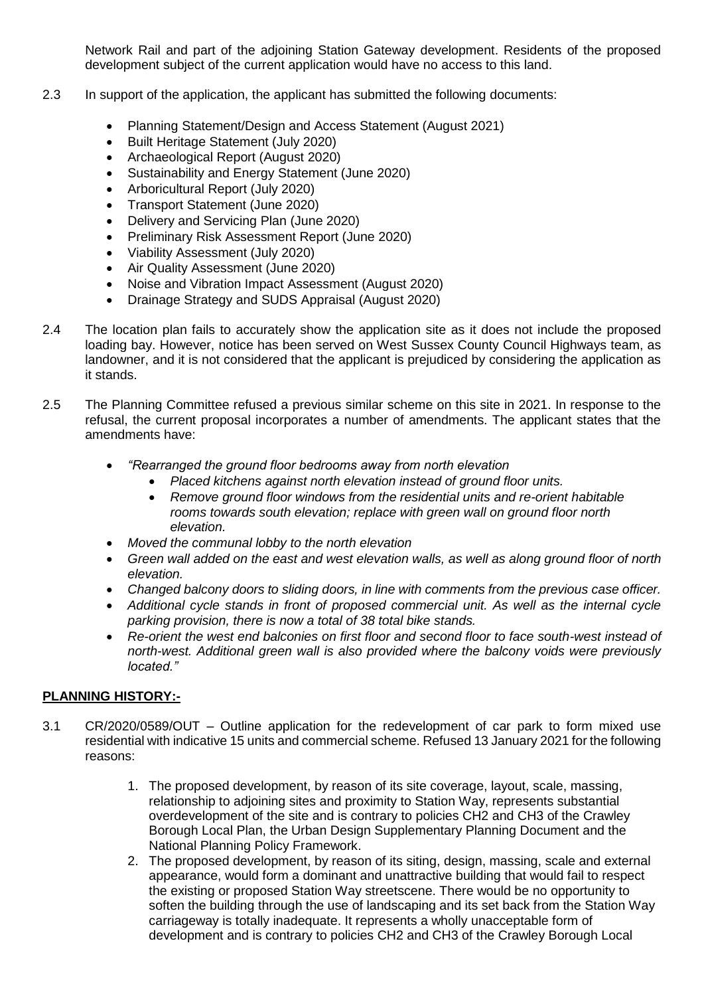Network Rail and part of the adjoining Station Gateway development. Residents of the proposed development subject of the current application would have no access to this land.

- 2.3 In support of the application, the applicant has submitted the following documents:
	- Planning Statement/Design and Access Statement (August 2021)
	- Built Heritage Statement (July 2020)
	- Archaeological Report (August 2020)
	- Sustainability and Energy Statement (June 2020)
	- Arboricultural Report (July 2020)
	- Transport Statement (June 2020)
	- Delivery and Servicing Plan (June 2020)
	- Preliminary Risk Assessment Report (June 2020)
	- Viability Assessment (July 2020)
	- Air Quality Assessment (June 2020)
	- Noise and Vibration Impact Assessment (August 2020)
	- Drainage Strategy and SUDS Appraisal (August 2020)
- 2.4 The location plan fails to accurately show the application site as it does not include the proposed loading bay. However, notice has been served on West Sussex County Council Highways team, as landowner, and it is not considered that the applicant is prejudiced by considering the application as it stands.
- 2.5 The Planning Committee refused a previous similar scheme on this site in 2021. In response to the refusal, the current proposal incorporates a number of amendments. The applicant states that the amendments have:
	- *"Rearranged the ground floor bedrooms away from north elevation* 
		- *Placed kitchens against north elevation instead of ground floor units.*
		- *Remove ground floor windows from the residential units and re-orient habitable rooms towards south elevation; replace with green wall on ground floor north elevation.*
	- *Moved the communal lobby to the north elevation*
	- *Green wall added on the east and west elevation walls, as well as along ground floor of north elevation.*
	- *Changed balcony doors to sliding doors, in line with comments from the previous case officer.*
	- *Additional cycle stands in front of proposed commercial unit. As well as the internal cycle parking provision, there is now a total of 38 total bike stands.*
	- *Re-orient the west end balconies on first floor and second floor to face south-west instead of north-west. Additional green wall is also provided where the balcony voids were previously located."*

# **PLANNING HISTORY:-**

- 3.1 CR/2020/0589/OUT Outline application for the redevelopment of car park to form mixed use residential with indicative 15 units and commercial scheme. Refused 13 January 2021 for the following reasons:
	- 1. The proposed development, by reason of its site coverage, layout, scale, massing, relationship to adjoining sites and proximity to Station Way, represents substantial overdevelopment of the site and is contrary to policies CH2 and CH3 of the Crawley Borough Local Plan, the Urban Design Supplementary Planning Document and the National Planning Policy Framework.
	- 2. The proposed development, by reason of its siting, design, massing, scale and external appearance, would form a dominant and unattractive building that would fail to respect the existing or proposed Station Way streetscene. There would be no opportunity to soften the building through the use of landscaping and its set back from the Station Way carriageway is totally inadequate. It represents a wholly unacceptable form of development and is contrary to policies CH2 and CH3 of the Crawley Borough Local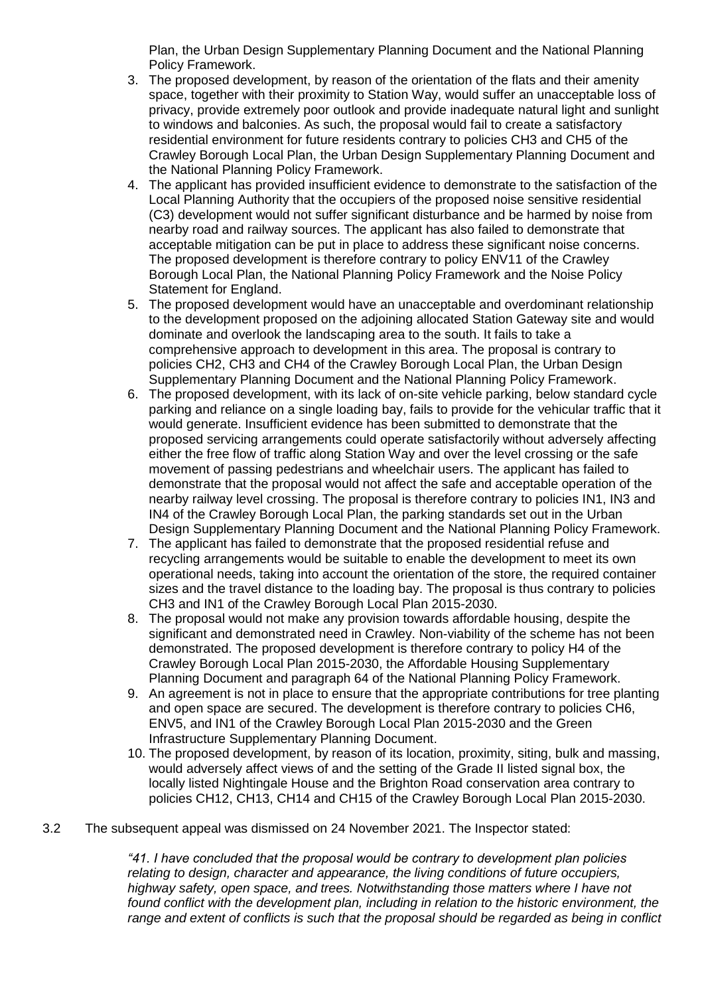Plan, the Urban Design Supplementary Planning Document and the National Planning Policy Framework.

- 3. The proposed development, by reason of the orientation of the flats and their amenity space, together with their proximity to Station Way, would suffer an unacceptable loss of privacy, provide extremely poor outlook and provide inadequate natural light and sunlight to windows and balconies. As such, the proposal would fail to create a satisfactory residential environment for future residents contrary to policies CH3 and CH5 of the Crawley Borough Local Plan, the Urban Design Supplementary Planning Document and the National Planning Policy Framework.
- 4. The applicant has provided insufficient evidence to demonstrate to the satisfaction of the Local Planning Authority that the occupiers of the proposed noise sensitive residential (C3) development would not suffer significant disturbance and be harmed by noise from nearby road and railway sources. The applicant has also failed to demonstrate that acceptable mitigation can be put in place to address these significant noise concerns. The proposed development is therefore contrary to policy ENV11 of the Crawley Borough Local Plan, the National Planning Policy Framework and the Noise Policy Statement for England.
- 5. The proposed development would have an unacceptable and overdominant relationship to the development proposed on the adjoining allocated Station Gateway site and would dominate and overlook the landscaping area to the south. It fails to take a comprehensive approach to development in this area. The proposal is contrary to policies CH2, CH3 and CH4 of the Crawley Borough Local Plan, the Urban Design Supplementary Planning Document and the National Planning Policy Framework.
- 6. The proposed development, with its lack of on-site vehicle parking, below standard cycle parking and reliance on a single loading bay, fails to provide for the vehicular traffic that it would generate. Insufficient evidence has been submitted to demonstrate that the proposed servicing arrangements could operate satisfactorily without adversely affecting either the free flow of traffic along Station Way and over the level crossing or the safe movement of passing pedestrians and wheelchair users. The applicant has failed to demonstrate that the proposal would not affect the safe and acceptable operation of the nearby railway level crossing. The proposal is therefore contrary to policies IN1, IN3 and IN4 of the Crawley Borough Local Plan, the parking standards set out in the Urban Design Supplementary Planning Document and the National Planning Policy Framework.
- 7. The applicant has failed to demonstrate that the proposed residential refuse and recycling arrangements would be suitable to enable the development to meet its own operational needs, taking into account the orientation of the store, the required container sizes and the travel distance to the loading bay. The proposal is thus contrary to policies CH3 and IN1 of the Crawley Borough Local Plan 2015-2030.
- 8. The proposal would not make any provision towards affordable housing, despite the significant and demonstrated need in Crawley. Non-viability of the scheme has not been demonstrated. The proposed development is therefore contrary to policy H4 of the Crawley Borough Local Plan 2015-2030, the Affordable Housing Supplementary Planning Document and paragraph 64 of the National Planning Policy Framework.
- 9. An agreement is not in place to ensure that the appropriate contributions for tree planting and open space are secured. The development is therefore contrary to policies CH6, ENV5, and IN1 of the Crawley Borough Local Plan 2015-2030 and the Green Infrastructure Supplementary Planning Document.
- 10. The proposed development, by reason of its location, proximity, siting, bulk and massing, would adversely affect views of and the setting of the Grade II listed signal box, the locally listed Nightingale House and the Brighton Road conservation area contrary to policies CH12, CH13, CH14 and CH15 of the Crawley Borough Local Plan 2015-2030.
- 3.2 The subsequent appeal was dismissed on 24 November 2021. The Inspector stated:

*"41. I have concluded that the proposal would be contrary to development plan policies relating to design, character and appearance, the living conditions of future occupiers, highway safety, open space, and trees. Notwithstanding those matters where I have not found conflict with the development plan, including in relation to the historic environment, the range and extent of conflicts is such that the proposal should be regarded as being in conflict*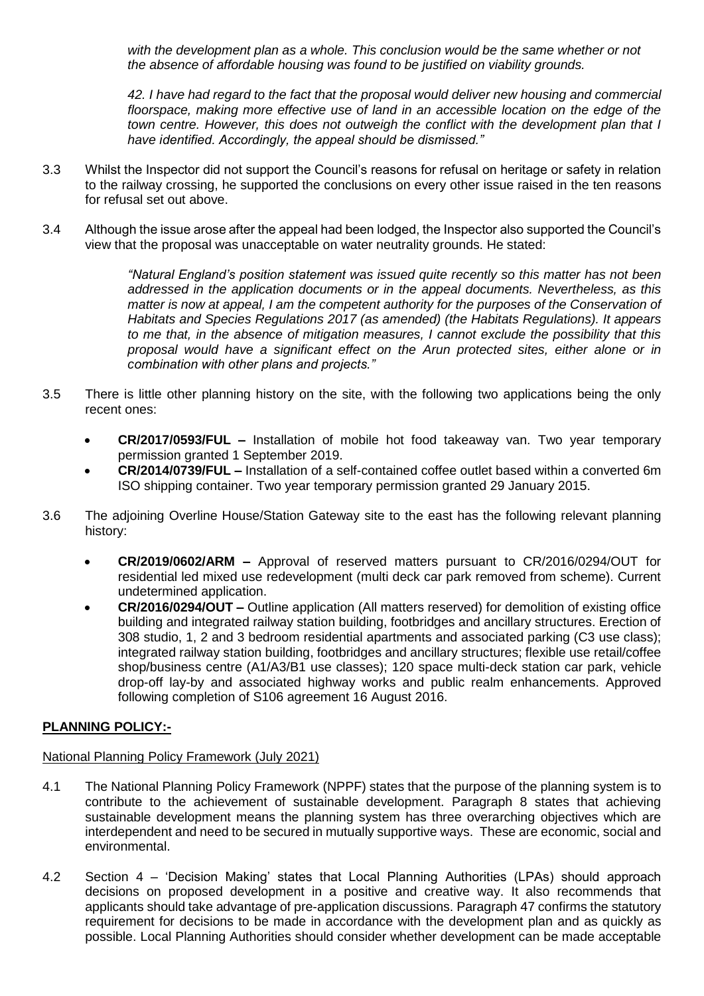*with the development plan as a whole. This conclusion would be the same whether or not the absence of affordable housing was found to be justified on viability grounds.* 

*42. I have had regard to the fact that the proposal would deliver new housing and commercial floorspace, making more effective use of land in an accessible location on the edge of the town centre. However, this does not outweigh the conflict with the development plan that I have identified. Accordingly, the appeal should be dismissed."*

- 3.3 Whilst the Inspector did not support the Council's reasons for refusal on heritage or safety in relation to the railway crossing, he supported the conclusions on every other issue raised in the ten reasons for refusal set out above.
- 3.4 Although the issue arose after the appeal had been lodged, the Inspector also supported the Council's view that the proposal was unacceptable on water neutrality grounds. He stated:

*"Natural England's position statement was issued quite recently so this matter has not been addressed in the application documents or in the appeal documents. Nevertheless, as this matter is now at appeal, I am the competent authority for the purposes of the Conservation of Habitats and Species Regulations 2017 (as amended) (the Habitats Regulations). It appears to me that, in the absence of mitigation measures, I cannot exclude the possibility that this proposal would have a significant effect on the Arun protected sites, either alone or in combination with other plans and projects."*

- 3.5 There is little other planning history on the site, with the following two applications being the only recent ones:
	- **CR/2017/0593/FUL –** Installation of mobile hot food takeaway van. Two year temporary permission granted 1 September 2019.
	- **CR/2014/0739/FUL –** Installation of a self-contained coffee outlet based within a converted 6m ISO shipping container. Two year temporary permission granted 29 January 2015.
- 3.6 The adjoining Overline House/Station Gateway site to the east has the following relevant planning history:
	- **CR/2019/0602/ARM –** Approval of reserved matters pursuant to CR/2016/0294/OUT for residential led mixed use redevelopment (multi deck car park removed from scheme). Current undetermined application.
	- **CR/2016/0294/OUT –** Outline application (All matters reserved) for demolition of existing office building and integrated railway station building, footbridges and ancillary structures. Erection of 308 studio, 1, 2 and 3 bedroom residential apartments and associated parking (C3 use class); integrated railway station building, footbridges and ancillary structures; flexible use retail/coffee shop/business centre (A1/A3/B1 use classes); 120 space multi-deck station car park, vehicle drop-off lay-by and associated highway works and public realm enhancements. Approved following completion of S106 agreement 16 August 2016.

# **PLANNING POLICY:-**

# National Planning Policy Framework (July 2021)

- 4.1 The National Planning Policy Framework (NPPF) states that the purpose of the planning system is to contribute to the achievement of sustainable development. Paragraph 8 states that achieving sustainable development means the planning system has three overarching objectives which are interdependent and need to be secured in mutually supportive ways. These are economic, social and environmental.
- 4.2 Section 4 'Decision Making' states that Local Planning Authorities (LPAs) should approach decisions on proposed development in a positive and creative way. It also recommends that applicants should take advantage of pre-application discussions. Paragraph 47 confirms the statutory requirement for decisions to be made in accordance with the development plan and as quickly as possible. Local Planning Authorities should consider whether development can be made acceptable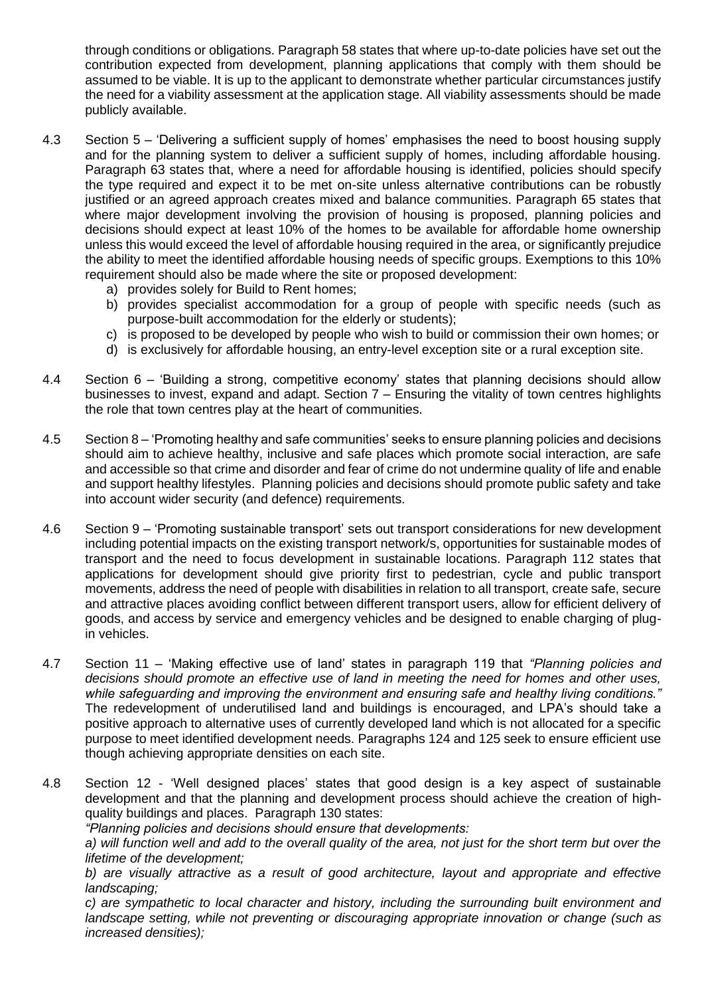through conditions or obligations. Paragraph 58 states that where up-to-date policies have set out the contribution expected from development, planning applications that comply with them should be assumed to be viable. It is up to the applicant to demonstrate whether particular circumstances justify the need for a viability assessment at the application stage. All viability assessments should be made publicly available.

- 4.3 Section 5 'Delivering a sufficient supply of homes' emphasises the need to boost housing supply and for the planning system to deliver a sufficient supply of homes, including affordable housing. Paragraph 63 states that, where a need for affordable housing is identified, policies should specify the type required and expect it to be met on-site unless alternative contributions can be robustly justified or an agreed approach creates mixed and balance communities. Paragraph 65 states that where major development involving the provision of housing is proposed, planning policies and decisions should expect at least 10% of the homes to be available for affordable home ownership unless this would exceed the level of affordable housing required in the area, or significantly prejudice the ability to meet the identified affordable housing needs of specific groups. Exemptions to this 10% requirement should also be made where the site or proposed development:
	- a) provides solely for Build to Rent homes;
	- b) provides specialist accommodation for a group of people with specific needs (such as purpose-built accommodation for the elderly or students);
	- c) is proposed to be developed by people who wish to build or commission their own homes; or
	- d) is exclusively for affordable housing, an entry-level exception site or a rural exception site.
- 4.4 Section 6 'Building a strong, competitive economy' states that planning decisions should allow businesses to invest, expand and adapt. Section 7 – Ensuring the vitality of town centres highlights the role that town centres play at the heart of communities.
- 4.5 Section 8 'Promoting healthy and safe communities' seeks to ensure planning policies and decisions should aim to achieve healthy, inclusive and safe places which promote social interaction, are safe and accessible so that crime and disorder and fear of crime do not undermine quality of life and enable and support healthy lifestyles. Planning policies and decisions should promote public safety and take into account wider security (and defence) requirements.
- 4.6 Section 9 'Promoting sustainable transport' sets out transport considerations for new development including potential impacts on the existing transport network/s, opportunities for sustainable modes of transport and the need to focus development in sustainable locations. Paragraph 112 states that applications for development should give priority first to pedestrian, cycle and public transport movements, address the need of people with disabilities in relation to all transport, create safe, secure and attractive places avoiding conflict between different transport users, allow for efficient delivery of goods, and access by service and emergency vehicles and be designed to enable charging of plugin vehicles.
- 4.7 Section 11 'Making effective use of land' states in paragraph 119 that *"Planning policies and decisions should promote an effective use of land in meeting the need for homes and other uses, while safeguarding and improving the environment and ensuring safe and healthy living conditions."* The redevelopment of underutilised land and buildings is encouraged, and LPA's should take a positive approach to alternative uses of currently developed land which is not allocated for a specific purpose to meet identified development needs. Paragraphs 124 and 125 seek to ensure efficient use though achieving appropriate densities on each site.
- 4.8 Section 12 'Well designed places' states that good design is a key aspect of sustainable development and that the planning and development process should achieve the creation of highquality buildings and places. Paragraph 130 states:

*"Planning policies and decisions should ensure that developments:*

*a) will function well and add to the overall quality of the area, not just for the short term but over the lifetime of the development;*

*b) are visually attractive as a result of good architecture, layout and appropriate and effective landscaping;*

*c) are sympathetic to local character and history, including the surrounding built environment and landscape setting, while not preventing or discouraging appropriate innovation or change (such as increased densities);*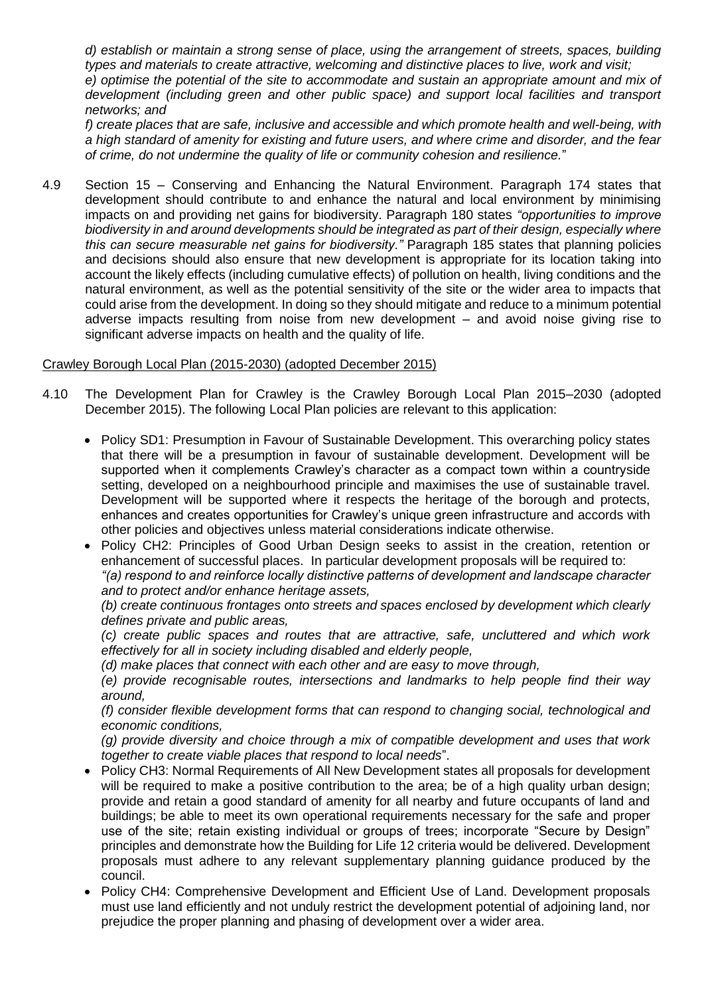*d) establish or maintain a strong sense of place, using the arrangement of streets, spaces, building types and materials to create attractive, welcoming and distinctive places to live, work and visit; e) optimise the potential of the site to accommodate and sustain an appropriate amount and mix of development (including green and other public space) and support local facilities and transport networks; and*

*f) create places that are safe, inclusive and accessible and which promote health and well-being, with a high standard of amenity for existing and future users, and where crime and disorder, and the fear of crime, do not undermine the quality of life or community cohesion and resilience.*"

4.9 Section 15 – Conserving and Enhancing the Natural Environment. Paragraph 174 states that development should contribute to and enhance the natural and local environment by minimising impacts on and providing net gains for biodiversity. Paragraph 180 states *"opportunities to improve biodiversity in and around developments should be integrated as part of their design, especially where this can secure measurable net gains for biodiversity."* Paragraph 185 states that planning policies and decisions should also ensure that new development is appropriate for its location taking into account the likely effects (including cumulative effects) of pollution on health, living conditions and the natural environment, as well as the potential sensitivity of the site or the wider area to impacts that could arise from the development. In doing so they should mitigate and reduce to a minimum potential adverse impacts resulting from noise from new development – and avoid noise giving rise to significant adverse impacts on health and the quality of life.

#### Crawley Borough Local Plan (2015-2030) (adopted December 2015)

- 4.10 The Development Plan for Crawley is the Crawley Borough Local Plan 2015–2030 (adopted December 2015). The following Local Plan policies are relevant to this application:
	- Policy SD1: Presumption in Favour of Sustainable Development. This overarching policy states that there will be a presumption in favour of sustainable development. Development will be supported when it complements Crawley's character as a compact town within a countryside setting, developed on a neighbourhood principle and maximises the use of sustainable travel. Development will be supported where it respects the heritage of the borough and protects, enhances and creates opportunities for Crawley's unique green infrastructure and accords with other policies and objectives unless material considerations indicate otherwise.
	- Policy CH2: Principles of Good Urban Design seeks to assist in the creation, retention or enhancement of successful places. In particular development proposals will be required to: *"(a) respond to and reinforce locally distinctive patterns of development and landscape character*

*and to protect and/or enhance heritage assets,*

*(b) create continuous frontages onto streets and spaces enclosed by development which clearly defines private and public areas,*

*(c) create public spaces and routes that are attractive, safe, uncluttered and which work effectively for all in society including disabled and elderly people,*

*(d) make places that connect with each other and are easy to move through,*

*(e) provide recognisable routes, intersections and landmarks to help people find their way around,*

*(f) consider flexible development forms that can respond to changing social, technological and economic conditions,*

*(g) provide diversity and choice through a mix of compatible development and uses that work together to create viable places that respond to local needs*".

- Policy CH3: Normal Requirements of All New Development states all proposals for development will be required to make a positive contribution to the area; be of a high quality urban design; provide and retain a good standard of amenity for all nearby and future occupants of land and buildings; be able to meet its own operational requirements necessary for the safe and proper use of the site; retain existing individual or groups of trees; incorporate "Secure by Design" principles and demonstrate how the Building for Life 12 criteria would be delivered. Development proposals must adhere to any relevant supplementary planning guidance produced by the council.
- Policy CH4: Comprehensive Development and Efficient Use of Land. Development proposals must use land efficiently and not unduly restrict the development potential of adjoining land, nor prejudice the proper planning and phasing of development over a wider area.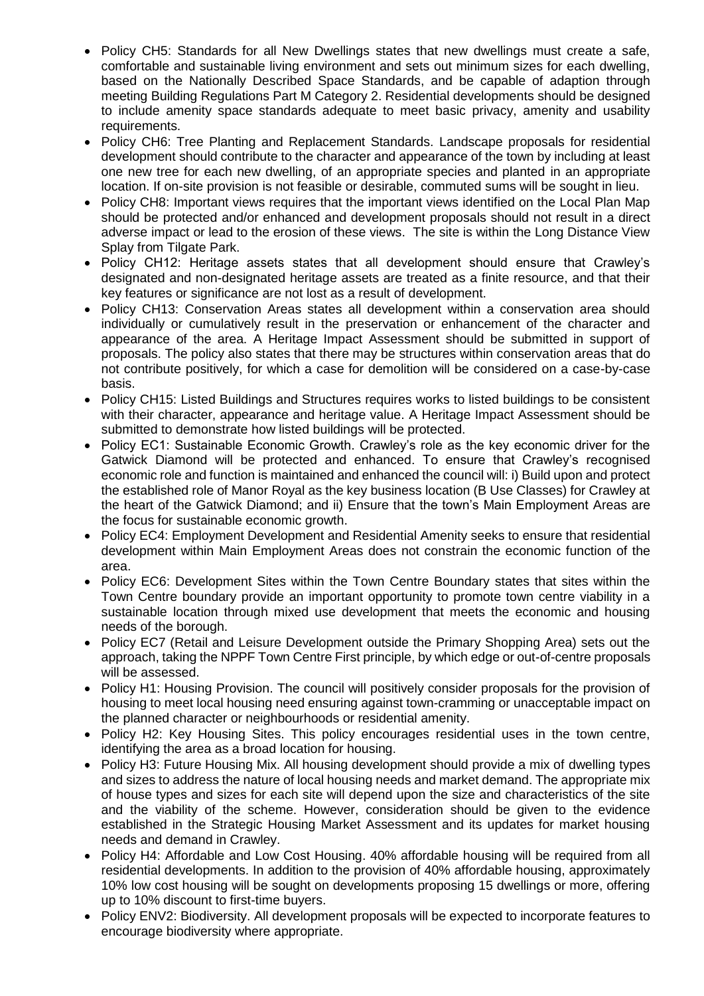- Policy CH5: Standards for all New Dwellings states that new dwellings must create a safe, comfortable and sustainable living environment and sets out minimum sizes for each dwelling, based on the Nationally Described Space Standards, and be capable of adaption through meeting Building Regulations Part M Category 2. Residential developments should be designed to include amenity space standards adequate to meet basic privacy, amenity and usability requirements.
- Policy CH6: Tree Planting and Replacement Standards. Landscape proposals for residential development should contribute to the character and appearance of the town by including at least one new tree for each new dwelling, of an appropriate species and planted in an appropriate location. If on-site provision is not feasible or desirable, commuted sums will be sought in lieu.
- Policy CH8: Important views requires that the important views identified on the Local Plan Map should be protected and/or enhanced and development proposals should not result in a direct adverse impact or lead to the erosion of these views. The site is within the Long Distance View Splay from Tilgate Park.
- Policy CH12: Heritage assets states that all development should ensure that Crawley's designated and non-designated heritage assets are treated as a finite resource, and that their key features or significance are not lost as a result of development.
- Policy CH13: Conservation Areas states all development within a conservation area should individually or cumulatively result in the preservation or enhancement of the character and appearance of the area. A Heritage Impact Assessment should be submitted in support of proposals. The policy also states that there may be structures within conservation areas that do not contribute positively, for which a case for demolition will be considered on a case-by-case basis.
- Policy CH15: Listed Buildings and Structures requires works to listed buildings to be consistent with their character, appearance and heritage value. A Heritage Impact Assessment should be submitted to demonstrate how listed buildings will be protected.
- Policy EC1: Sustainable Economic Growth. Crawley's role as the key economic driver for the Gatwick Diamond will be protected and enhanced. To ensure that Crawley's recognised economic role and function is maintained and enhanced the council will: i) Build upon and protect the established role of Manor Royal as the key business location (B Use Classes) for Crawley at the heart of the Gatwick Diamond; and ii) Ensure that the town's Main Employment Areas are the focus for sustainable economic growth.
- Policy EC4: Employment Development and Residential Amenity seeks to ensure that residential development within Main Employment Areas does not constrain the economic function of the area.
- Policy EC6: Development Sites within the Town Centre Boundary states that sites within the Town Centre boundary provide an important opportunity to promote town centre viability in a sustainable location through mixed use development that meets the economic and housing needs of the borough.
- Policy EC7 (Retail and Leisure Development outside the Primary Shopping Area) sets out the approach, taking the NPPF Town Centre First principle, by which edge or out-of-centre proposals will be assessed.
- Policy H1: Housing Provision. The council will positively consider proposals for the provision of housing to meet local housing need ensuring against town-cramming or unacceptable impact on the planned character or neighbourhoods or residential amenity.
- Policy H2: Key Housing Sites. This policy encourages residential uses in the town centre, identifying the area as a broad location for housing.
- Policy H3: Future Housing Mix. All housing development should provide a mix of dwelling types and sizes to address the nature of local housing needs and market demand. The appropriate mix of house types and sizes for each site will depend upon the size and characteristics of the site and the viability of the scheme. However, consideration should be given to the evidence established in the Strategic Housing Market Assessment and its updates for market housing needs and demand in Crawley.
- Policy H4: Affordable and Low Cost Housing. 40% affordable housing will be required from all residential developments. In addition to the provision of 40% affordable housing, approximately 10% low cost housing will be sought on developments proposing 15 dwellings or more, offering up to 10% discount to first-time buyers.
- Policy ENV2: Biodiversity. All development proposals will be expected to incorporate features to encourage biodiversity where appropriate.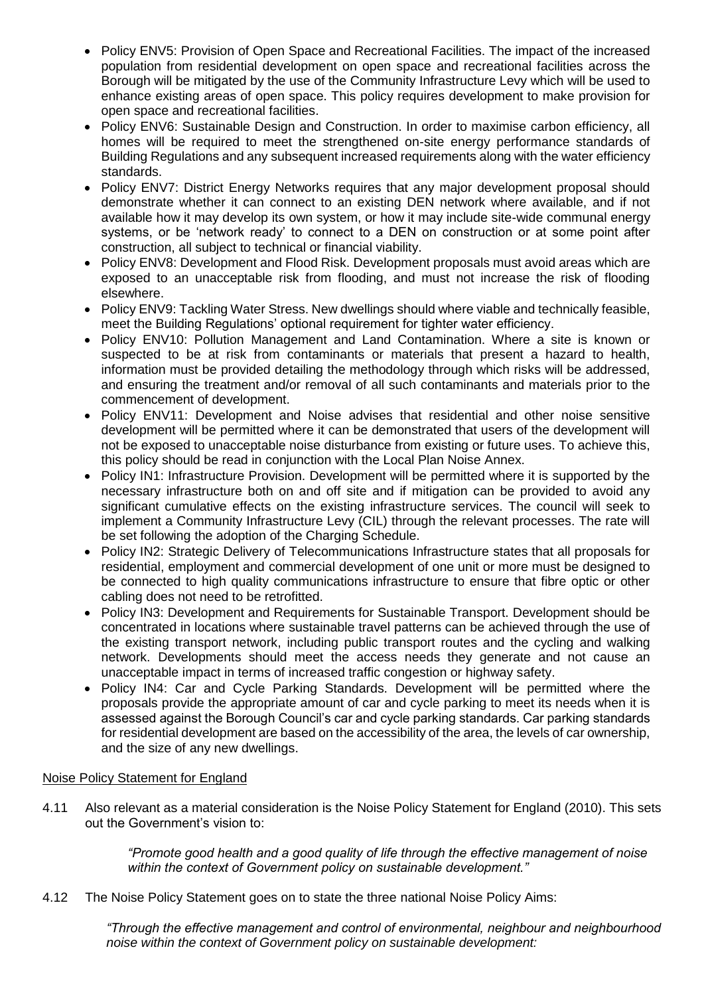- Policy ENV5: Provision of Open Space and Recreational Facilities. The impact of the increased population from residential development on open space and recreational facilities across the Borough will be mitigated by the use of the Community Infrastructure Levy which will be used to enhance existing areas of open space. This policy requires development to make provision for open space and recreational facilities.
- Policy ENV6: Sustainable Design and Construction. In order to maximise carbon efficiency, all homes will be required to meet the strengthened on-site energy performance standards of Building Regulations and any subsequent increased requirements along with the water efficiency standards.
- Policy ENV7: District Energy Networks requires that any major development proposal should demonstrate whether it can connect to an existing DEN network where available, and if not available how it may develop its own system, or how it may include site-wide communal energy systems, or be 'network ready' to connect to a DEN on construction or at some point after construction, all subject to technical or financial viability.
- Policy ENV8: Development and Flood Risk. Development proposals must avoid areas which are exposed to an unacceptable risk from flooding, and must not increase the risk of flooding elsewhere.
- Policy ENV9: Tackling Water Stress. New dwellings should where viable and technically feasible, meet the Building Regulations' optional requirement for tighter water efficiency.
- Policy ENV10: Pollution Management and Land Contamination. Where a site is known or suspected to be at risk from contaminants or materials that present a hazard to health, information must be provided detailing the methodology through which risks will be addressed, and ensuring the treatment and/or removal of all such contaminants and materials prior to the commencement of development.
- Policy ENV11: Development and Noise advises that residential and other noise sensitive development will be permitted where it can be demonstrated that users of the development will not be exposed to unacceptable noise disturbance from existing or future uses. To achieve this, this policy should be read in conjunction with the Local Plan Noise Annex.
- Policy IN1: Infrastructure Provision. Development will be permitted where it is supported by the necessary infrastructure both on and off site and if mitigation can be provided to avoid any significant cumulative effects on the existing infrastructure services. The council will seek to implement a Community Infrastructure Levy (CIL) through the relevant processes. The rate will be set following the adoption of the Charging Schedule.
- Policy IN2: Strategic Delivery of Telecommunications Infrastructure states that all proposals for residential, employment and commercial development of one unit or more must be designed to be connected to high quality communications infrastructure to ensure that fibre optic or other cabling does not need to be retrofitted.
- Policy IN3: Development and Requirements for Sustainable Transport. Development should be concentrated in locations where sustainable travel patterns can be achieved through the use of the existing transport network, including public transport routes and the cycling and walking network. Developments should meet the access needs they generate and not cause an unacceptable impact in terms of increased traffic congestion or highway safety.
- Policy IN4: Car and Cycle Parking Standards. Development will be permitted where the proposals provide the appropriate amount of car and cycle parking to meet its needs when it is assessed against the Borough Council's car and cycle parking standards. Car parking standards for residential development are based on the accessibility of the area, the levels of car ownership, and the size of any new dwellings.

# Noise Policy Statement for England

4.11 Also relevant as a material consideration is the Noise Policy Statement for England (2010). This sets out the Government's vision to:

> *"Promote good health and a good quality of life through the effective management of noise within the context of Government policy on sustainable development."*

4.12 The Noise Policy Statement goes on to state the three national Noise Policy Aims:

*"Through the effective management and control of environmental, neighbour and neighbourhood noise within the context of Government policy on sustainable development:*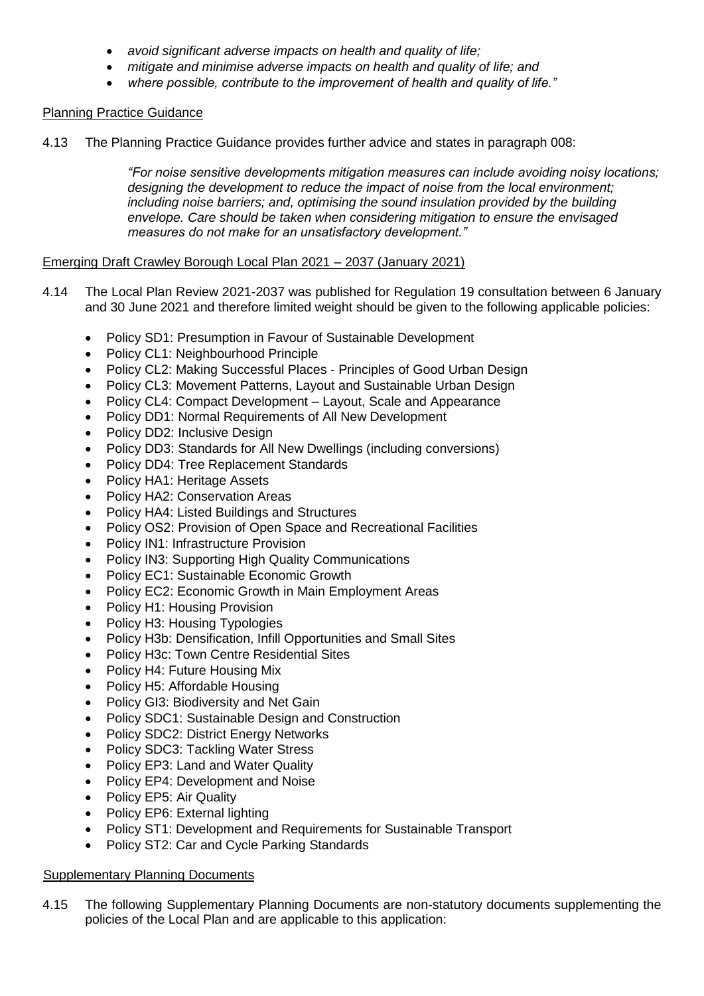- *avoid significant adverse impacts on health and quality of life;*
- *mitigate and minimise adverse impacts on health and quality of life; and*
- *where possible, contribute to the improvement of health and quality of life."*

# Planning Practice Guidance

4.13 The Planning Practice Guidance provides further advice and states in paragraph 008:

*"For noise sensitive developments mitigation measures can include avoiding noisy locations; designing the development to reduce the impact of noise from the local environment; including noise barriers; and, optimising the sound insulation provided by the building envelope. Care should be taken when considering mitigation to ensure the envisaged measures do not make for an unsatisfactory development."*

#### Emerging Draft Crawley Borough Local Plan 2021 – 2037 (January 2021)

- 4.14 The Local Plan Review 2021-2037 was published for Regulation 19 consultation between 6 January and 30 June 2021 and therefore limited weight should be given to the following applicable policies:
	- Policy SD1: Presumption in Favour of Sustainable Development
	- Policy CL1: Neighbourhood Principle
	- Policy CL2: Making Successful Places Principles of Good Urban Design
	- Policy CL3: Movement Patterns, Layout and Sustainable Urban Design
	- Policy CL4: Compact Development Layout, Scale and Appearance
	- Policy DD1: Normal Requirements of All New Development
	- Policy DD2: Inclusive Design
	- Policy DD3: Standards for All New Dwellings (including conversions)
	- Policy DD4: Tree Replacement Standards
	- Policy HA1: Heritage Assets
	- Policy HA2: Conservation Areas
	- Policy HA4: Listed Buildings and Structures
	- Policy OS2: Provision of Open Space and Recreational Facilities
	- Policy IN1: Infrastructure Provision
	- Policy IN3: Supporting High Quality Communications
	- Policy EC1: Sustainable Economic Growth
	- Policy EC2: Economic Growth in Main Employment Areas
	- Policy H1: Housing Provision
	- Policy H3: Housing Typologies
	- Policy H3b: Densification, Infill Opportunities and Small Sites
	- Policy H3c: Town Centre Residential Sites
	- Policy H4: Future Housing Mix
	- Policy H5: Affordable Housing
	- Policy GI3: Biodiversity and Net Gain
	- Policy SDC1: Sustainable Design and Construction
	- Policy SDC2: District Energy Networks
	- Policy SDC3: Tackling Water Stress
	- Policy EP3: Land and Water Quality
	- Policy EP4: Development and Noise
	- Policy EP5: Air Quality
	- Policy EP6: External lighting
	- Policy ST1: Development and Requirements for Sustainable Transport
	- Policy ST2: Car and Cycle Parking Standards

# Supplementary Planning Documents

4.15 The following Supplementary Planning Documents are non-statutory documents supplementing the policies of the Local Plan and are applicable to this application: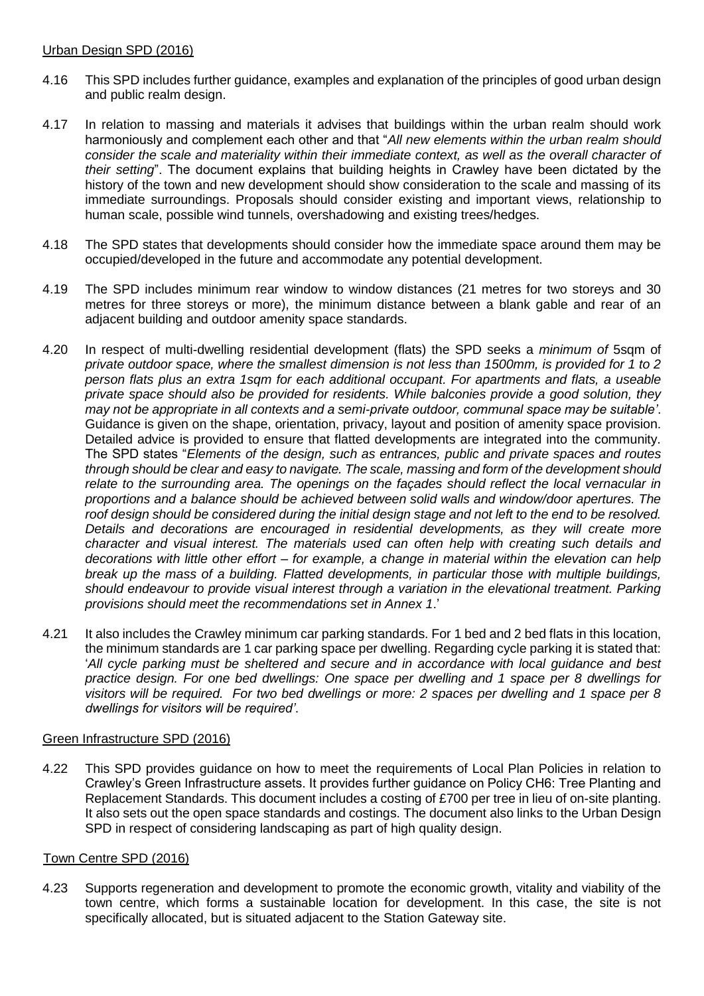#### Urban Design SPD (2016)

- 4.16 This SPD includes further guidance, examples and explanation of the principles of good urban design and public realm design.
- 4.17 In relation to massing and materials it advises that buildings within the urban realm should work harmoniously and complement each other and that "*All new elements within the urban realm should consider the scale and materiality within their immediate context, as well as the overall character of their setting*". The document explains that building heights in Crawley have been dictated by the history of the town and new development should show consideration to the scale and massing of its immediate surroundings. Proposals should consider existing and important views, relationship to human scale, possible wind tunnels, overshadowing and existing trees/hedges.
- 4.18 The SPD states that developments should consider how the immediate space around them may be occupied/developed in the future and accommodate any potential development.
- 4.19 The SPD includes minimum rear window to window distances (21 metres for two storeys and 30 metres for three storeys or more), the minimum distance between a blank gable and rear of an adjacent building and outdoor amenity space standards.
- 4.20 In respect of multi-dwelling residential development (flats) the SPD seeks a *minimum of* 5sqm of *private outdoor space, where the smallest dimension is not less than 1500mm, is provided for 1 to 2 person flats plus an extra 1sqm for each additional occupant. For apartments and flats, a useable private space should also be provided for residents. While balconies provide a good solution, they may not be appropriate in all contexts and a semi-private outdoor, communal space may be suitable'*. Guidance is given on the shape, orientation, privacy, layout and position of amenity space provision. Detailed advice is provided to ensure that flatted developments are integrated into the community. The SPD states "*Elements of the design, such as entrances, public and private spaces and routes through should be clear and easy to navigate. The scale, massing and form of the development should relate to the surrounding area. The openings on the façades should reflect the local vernacular in proportions and a balance should be achieved between solid walls and window/door apertures. The roof design should be considered during the initial design stage and not left to the end to be resolved. Details and decorations are encouraged in residential developments, as they will create more character and visual interest. The materials used can often help with creating such details and decorations with little other effort – for example, a change in material within the elevation can help break up the mass of a building. Flatted developments, in particular those with multiple buildings, should endeavour to provide visual interest through a variation in the elevational treatment. Parking provisions should meet the recommendations set in Annex 1*.'
- 4.21 It also includes the Crawley minimum car parking standards. For 1 bed and 2 bed flats in this location, the minimum standards are 1 car parking space per dwelling. Regarding cycle parking it is stated that: '*All cycle parking must be sheltered and secure and in accordance with local guidance and best practice design. For one bed dwellings: One space per dwelling and 1 space per 8 dwellings for visitors will be required. For two bed dwellings or more: 2 spaces per dwelling and 1 space per 8 dwellings for visitors will be required'*.

# Green Infrastructure SPD (2016)

4.22 This SPD provides guidance on how to meet the requirements of Local Plan Policies in relation to Crawley's Green Infrastructure assets. It provides further guidance on Policy CH6: Tree Planting and Replacement Standards. This document includes a costing of £700 per tree in lieu of on-site planting. It also sets out the open space standards and costings. The document also links to the Urban Design SPD in respect of considering landscaping as part of high quality design.

#### Town Centre SPD (2016)

4.23 Supports regeneration and development to promote the economic growth, vitality and viability of the town centre, which forms a sustainable location for development. In this case, the site is not specifically allocated, but is situated adjacent to the Station Gateway site.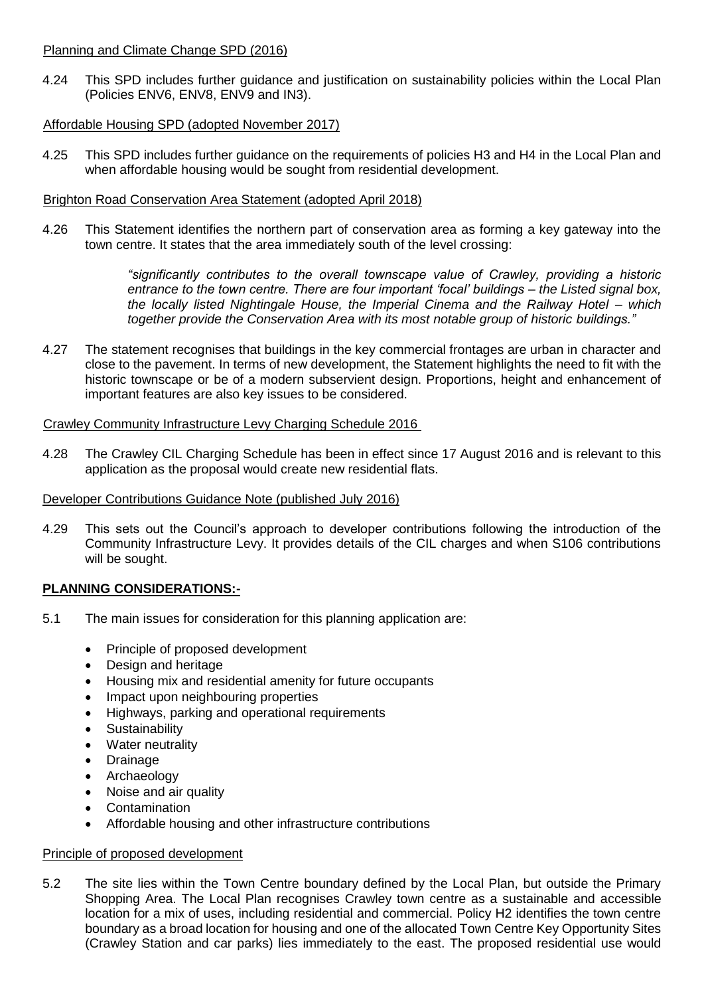#### Planning and Climate Change SPD (2016)

4.24 This SPD includes further guidance and justification on sustainability policies within the Local Plan (Policies ENV6, ENV8, ENV9 and IN3).

# Affordable Housing SPD (adopted November 2017)

4.25 This SPD includes further guidance on the requirements of policies H3 and H4 in the Local Plan and when affordable housing would be sought from residential development.

# Brighton Road Conservation Area Statement (adopted April 2018)

4.26 This Statement identifies the northern part of conservation area as forming a key gateway into the town centre. It states that the area immediately south of the level crossing:

> *"significantly contributes to the overall townscape value of Crawley, providing a historic entrance to the town centre. There are four important 'focal' buildings – the Listed signal box, the locally listed Nightingale House, the Imperial Cinema and the Railway Hotel – which together provide the Conservation Area with its most notable group of historic buildings."*

4.27 The statement recognises that buildings in the key commercial frontages are urban in character and close to the pavement. In terms of new development, the Statement highlights the need to fit with the historic townscape or be of a modern subservient design. Proportions, height and enhancement of important features are also key issues to be considered.

# Crawley Community Infrastructure Levy Charging Schedule 2016

4.28 The Crawley CIL Charging Schedule has been in effect since 17 August 2016 and is relevant to this application as the proposal would create new residential flats.

# Developer Contributions Guidance Note (published July 2016)

4.29 This sets out the Council's approach to developer contributions following the introduction of the Community Infrastructure Levy. It provides details of the CIL charges and when S106 contributions will be sought.

# **PLANNING CONSIDERATIONS:-**

- 5.1 The main issues for consideration for this planning application are:
	- Principle of proposed development
	- Design and heritage
	- Housing mix and residential amenity for future occupants
	- Impact upon neighbouring properties
	- Highways, parking and operational requirements
	- Sustainability
	- Water neutrality
	- Drainage
	- Archaeology
	- Noise and air quality
	- Contamination
	- Affordable housing and other infrastructure contributions

#### Principle of proposed development

5.2 The site lies within the Town Centre boundary defined by the Local Plan, but outside the Primary Shopping Area. The Local Plan recognises Crawley town centre as a sustainable and accessible location for a mix of uses, including residential and commercial. Policy H2 identifies the town centre boundary as a broad location for housing and one of the allocated Town Centre Key Opportunity Sites (Crawley Station and car parks) lies immediately to the east. The proposed residential use would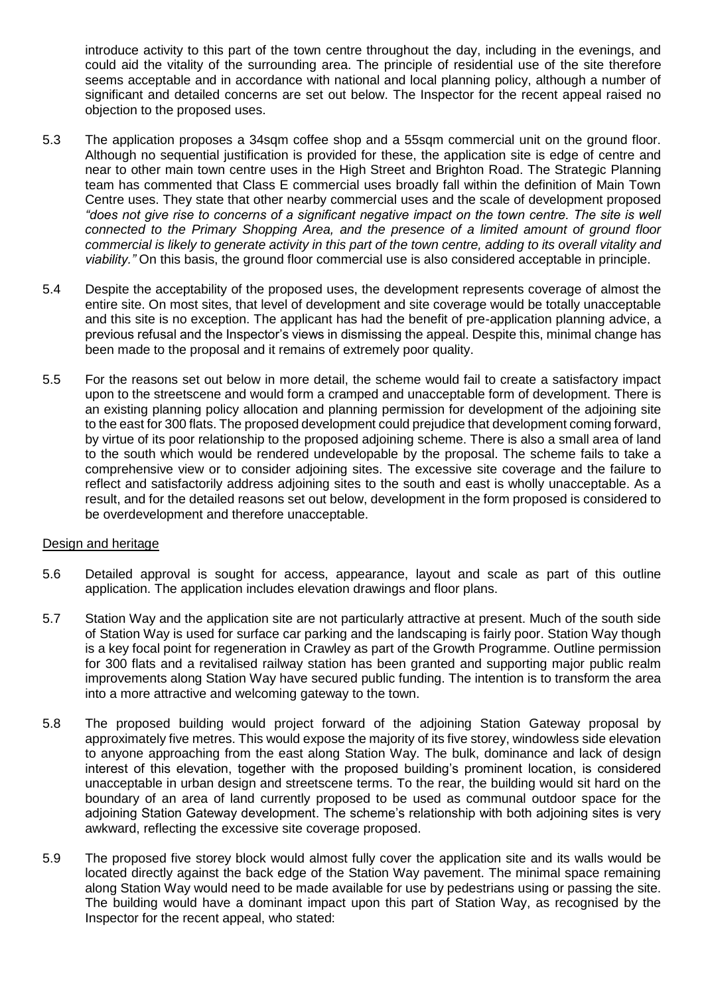introduce activity to this part of the town centre throughout the day, including in the evenings, and could aid the vitality of the surrounding area. The principle of residential use of the site therefore seems acceptable and in accordance with national and local planning policy, although a number of significant and detailed concerns are set out below. The Inspector for the recent appeal raised no objection to the proposed uses.

- 5.3 The application proposes a 34sqm coffee shop and a 55sqm commercial unit on the ground floor. Although no sequential justification is provided for these, the application site is edge of centre and near to other main town centre uses in the High Street and Brighton Road. The Strategic Planning team has commented that Class E commercial uses broadly fall within the definition of Main Town Centre uses. They state that other nearby commercial uses and the scale of development proposed *does not give rise to concerns of a significant negative impact on the town centre. The site is well connected to the Primary Shopping Area, and the presence of a limited amount of ground floor commercial is likely to generate activity in this part of the town centre, adding to its overall vitality and viability."* On this basis, the ground floor commercial use is also considered acceptable in principle.
- 5.4 Despite the acceptability of the proposed uses, the development represents coverage of almost the entire site. On most sites, that level of development and site coverage would be totally unacceptable and this site is no exception. The applicant has had the benefit of pre-application planning advice, a previous refusal and the Inspector's views in dismissing the appeal. Despite this, minimal change has been made to the proposal and it remains of extremely poor quality.
- 5.5 For the reasons set out below in more detail, the scheme would fail to create a satisfactory impact upon to the streetscene and would form a cramped and unacceptable form of development. There is an existing planning policy allocation and planning permission for development of the adjoining site to the east for 300 flats. The proposed development could prejudice that development coming forward, by virtue of its poor relationship to the proposed adjoining scheme. There is also a small area of land to the south which would be rendered undevelopable by the proposal. The scheme fails to take a comprehensive view or to consider adjoining sites. The excessive site coverage and the failure to reflect and satisfactorily address adjoining sites to the south and east is wholly unacceptable. As a result, and for the detailed reasons set out below, development in the form proposed is considered to be overdevelopment and therefore unacceptable.

# Design and heritage

- 5.6 Detailed approval is sought for access, appearance, layout and scale as part of this outline application. The application includes elevation drawings and floor plans.
- 5.7 Station Way and the application site are not particularly attractive at present. Much of the south side of Station Way is used for surface car parking and the landscaping is fairly poor. Station Way though is a key focal point for regeneration in Crawley as part of the Growth Programme. Outline permission for 300 flats and a revitalised railway station has been granted and supporting major public realm improvements along Station Way have secured public funding. The intention is to transform the area into a more attractive and welcoming gateway to the town.
- 5.8 The proposed building would project forward of the adjoining Station Gateway proposal by approximately five metres. This would expose the majority of its five storey, windowless side elevation to anyone approaching from the east along Station Way. The bulk, dominance and lack of design interest of this elevation, together with the proposed building's prominent location, is considered unacceptable in urban design and streetscene terms. To the rear, the building would sit hard on the boundary of an area of land currently proposed to be used as communal outdoor space for the adjoining Station Gateway development. The scheme's relationship with both adjoining sites is very awkward, reflecting the excessive site coverage proposed.
- 5.9 The proposed five storey block would almost fully cover the application site and its walls would be located directly against the back edge of the Station Way pavement. The minimal space remaining along Station Way would need to be made available for use by pedestrians using or passing the site. The building would have a dominant impact upon this part of Station Way, as recognised by the Inspector for the recent appeal, who stated: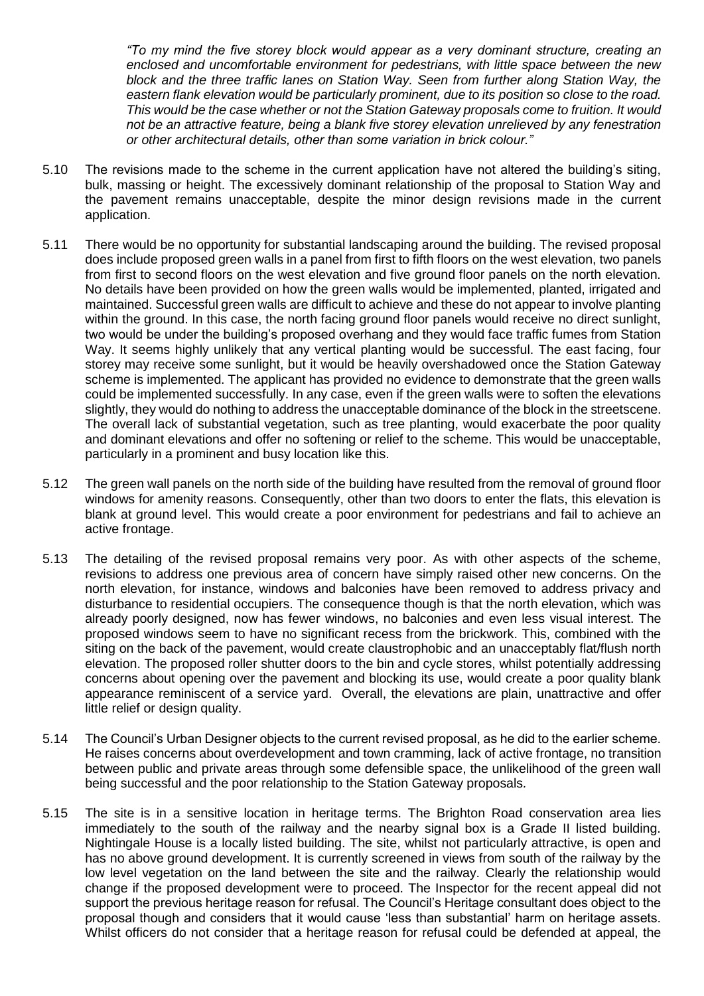*"To my mind the five storey block would appear as a very dominant structure, creating an enclosed and uncomfortable environment for pedestrians, with little space between the new block and the three traffic lanes on Station Way. Seen from further along Station Way, the eastern flank elevation would be particularly prominent, due to its position so close to the road. This would be the case whether or not the Station Gateway proposals come to fruition. It would not be an attractive feature, being a blank five storey elevation unrelieved by any fenestration or other architectural details, other than some variation in brick colour."*

- 5.10 The revisions made to the scheme in the current application have not altered the building's siting, bulk, massing or height. The excessively dominant relationship of the proposal to Station Way and the pavement remains unacceptable, despite the minor design revisions made in the current application.
- 5.11 There would be no opportunity for substantial landscaping around the building. The revised proposal does include proposed green walls in a panel from first to fifth floors on the west elevation, two panels from first to second floors on the west elevation and five ground floor panels on the north elevation. No details have been provided on how the green walls would be implemented, planted, irrigated and maintained. Successful green walls are difficult to achieve and these do not appear to involve planting within the ground. In this case, the north facing ground floor panels would receive no direct sunlight, two would be under the building's proposed overhang and they would face traffic fumes from Station Way. It seems highly unlikely that any vertical planting would be successful. The east facing, four storey may receive some sunlight, but it would be heavily overshadowed once the Station Gateway scheme is implemented. The applicant has provided no evidence to demonstrate that the green walls could be implemented successfully. In any case, even if the green walls were to soften the elevations slightly, they would do nothing to address the unacceptable dominance of the block in the streetscene. The overall lack of substantial vegetation, such as tree planting, would exacerbate the poor quality and dominant elevations and offer no softening or relief to the scheme. This would be unacceptable, particularly in a prominent and busy location like this.
- 5.12 The green wall panels on the north side of the building have resulted from the removal of ground floor windows for amenity reasons. Consequently, other than two doors to enter the flats, this elevation is blank at ground level. This would create a poor environment for pedestrians and fail to achieve an active frontage.
- 5.13 The detailing of the revised proposal remains very poor. As with other aspects of the scheme, revisions to address one previous area of concern have simply raised other new concerns. On the north elevation, for instance, windows and balconies have been removed to address privacy and disturbance to residential occupiers. The consequence though is that the north elevation, which was already poorly designed, now has fewer windows, no balconies and even less visual interest. The proposed windows seem to have no significant recess from the brickwork. This, combined with the siting on the back of the pavement, would create claustrophobic and an unacceptably flat/flush north elevation. The proposed roller shutter doors to the bin and cycle stores, whilst potentially addressing concerns about opening over the pavement and blocking its use, would create a poor quality blank appearance reminiscent of a service yard. Overall, the elevations are plain, unattractive and offer little relief or design quality.
- 5.14 The Council's Urban Designer objects to the current revised proposal, as he did to the earlier scheme. He raises concerns about overdevelopment and town cramming, lack of active frontage, no transition between public and private areas through some defensible space, the unlikelihood of the green wall being successful and the poor relationship to the Station Gateway proposals*.*
- 5.15 The site is in a sensitive location in heritage terms. The Brighton Road conservation area lies immediately to the south of the railway and the nearby signal box is a Grade II listed building. Nightingale House is a locally listed building. The site, whilst not particularly attractive, is open and has no above ground development. It is currently screened in views from south of the railway by the low level vegetation on the land between the site and the railway. Clearly the relationship would change if the proposed development were to proceed. The Inspector for the recent appeal did not support the previous heritage reason for refusal. The Council's Heritage consultant does object to the proposal though and considers that it would cause 'less than substantial' harm on heritage assets. Whilst officers do not consider that a heritage reason for refusal could be defended at appeal, the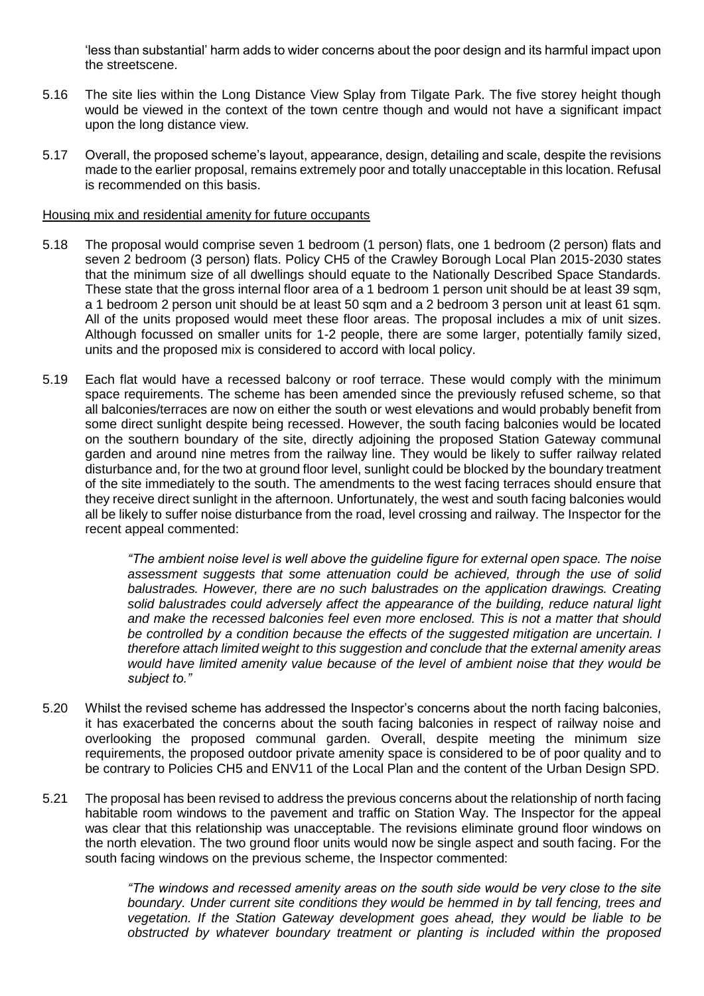'less than substantial' harm adds to wider concerns about the poor design and its harmful impact upon the streetscene.

- 5.16 The site lies within the Long Distance View Splay from Tilgate Park. The five storey height though would be viewed in the context of the town centre though and would not have a significant impact upon the long distance view.
- 5.17 Overall, the proposed scheme's layout, appearance, design, detailing and scale, despite the revisions made to the earlier proposal, remains extremely poor and totally unacceptable in this location. Refusal is recommended on this basis.

#### Housing mix and residential amenity for future occupants

- 5.18 The proposal would comprise seven 1 bedroom (1 person) flats, one 1 bedroom (2 person) flats and seven 2 bedroom (3 person) flats. Policy CH5 of the Crawley Borough Local Plan 2015-2030 states that the minimum size of all dwellings should equate to the Nationally Described Space Standards. These state that the gross internal floor area of a 1 bedroom 1 person unit should be at least 39 sqm, a 1 bedroom 2 person unit should be at least 50 sqm and a 2 bedroom 3 person unit at least 61 sqm. All of the units proposed would meet these floor areas. The proposal includes a mix of unit sizes. Although focussed on smaller units for 1-2 people, there are some larger, potentially family sized, units and the proposed mix is considered to accord with local policy.
- 5.19 Each flat would have a recessed balcony or roof terrace. These would comply with the minimum space requirements. The scheme has been amended since the previously refused scheme, so that all balconies/terraces are now on either the south or west elevations and would probably benefit from some direct sunlight despite being recessed. However, the south facing balconies would be located on the southern boundary of the site, directly adjoining the proposed Station Gateway communal garden and around nine metres from the railway line. They would be likely to suffer railway related disturbance and, for the two at ground floor level, sunlight could be blocked by the boundary treatment of the site immediately to the south. The amendments to the west facing terraces should ensure that they receive direct sunlight in the afternoon. Unfortunately, the west and south facing balconies would all be likely to suffer noise disturbance from the road, level crossing and railway. The Inspector for the recent appeal commented:

*"The ambient noise level is well above the guideline figure for external open space. The noise assessment suggests that some attenuation could be achieved, through the use of solid*  balustrades. However, there are no such balustrades on the application drawings. Creating *solid balustrades could adversely affect the appearance of the building, reduce natural light and make the recessed balconies feel even more enclosed. This is not a matter that should be controlled by a condition because the effects of the suggested mitigation are uncertain. I therefore attach limited weight to this suggestion and conclude that the external amenity areas would have limited amenity value because of the level of ambient noise that they would be subject to."*

- 5.20 Whilst the revised scheme has addressed the Inspector's concerns about the north facing balconies, it has exacerbated the concerns about the south facing balconies in respect of railway noise and overlooking the proposed communal garden. Overall, despite meeting the minimum size requirements, the proposed outdoor private amenity space is considered to be of poor quality and to be contrary to Policies CH5 and ENV11 of the Local Plan and the content of the Urban Design SPD.
- 5.21 The proposal has been revised to address the previous concerns about the relationship of north facing habitable room windows to the pavement and traffic on Station Way. The Inspector for the appeal was clear that this relationship was unacceptable. The revisions eliminate ground floor windows on the north elevation. The two ground floor units would now be single aspect and south facing. For the south facing windows on the previous scheme, the Inspector commented:

*"The windows and recessed amenity areas on the south side would be very close to the site boundary. Under current site conditions they would be hemmed in by tall fencing, trees and vegetation. If the Station Gateway development goes ahead, they would be liable to be obstructed by whatever boundary treatment or planting is included within the proposed*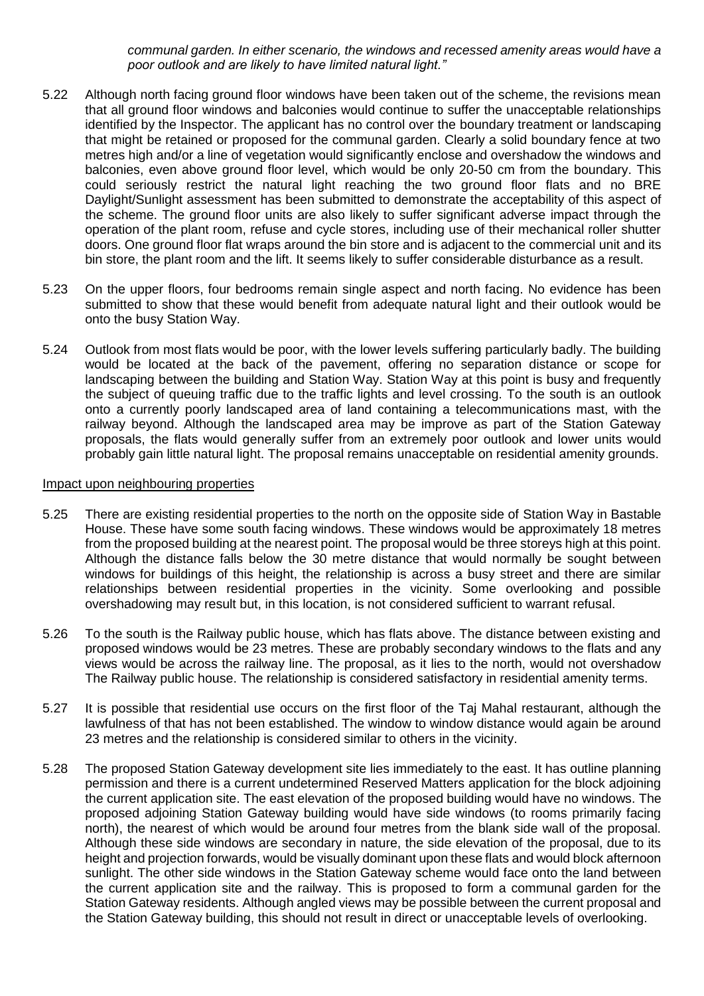*communal garden. In either scenario, the windows and recessed amenity areas would have a poor outlook and are likely to have limited natural light."* 

- 5.22 Although north facing ground floor windows have been taken out of the scheme, the revisions mean that all ground floor windows and balconies would continue to suffer the unacceptable relationships identified by the Inspector. The applicant has no control over the boundary treatment or landscaping that might be retained or proposed for the communal garden. Clearly a solid boundary fence at two metres high and/or a line of vegetation would significantly enclose and overshadow the windows and balconies, even above ground floor level, which would be only 20-50 cm from the boundary. This could seriously restrict the natural light reaching the two ground floor flats and no BRE Daylight/Sunlight assessment has been submitted to demonstrate the acceptability of this aspect of the scheme. The ground floor units are also likely to suffer significant adverse impact through the operation of the plant room, refuse and cycle stores, including use of their mechanical roller shutter doors. One ground floor flat wraps around the bin store and is adjacent to the commercial unit and its bin store, the plant room and the lift. It seems likely to suffer considerable disturbance as a result.
- 5.23 On the upper floors, four bedrooms remain single aspect and north facing. No evidence has been submitted to show that these would benefit from adequate natural light and their outlook would be onto the busy Station Way.
- 5.24 Outlook from most flats would be poor, with the lower levels suffering particularly badly. The building would be located at the back of the pavement, offering no separation distance or scope for landscaping between the building and Station Way. Station Way at this point is busy and frequently the subject of queuing traffic due to the traffic lights and level crossing. To the south is an outlook onto a currently poorly landscaped area of land containing a telecommunications mast, with the railway beyond. Although the landscaped area may be improve as part of the Station Gateway proposals, the flats would generally suffer from an extremely poor outlook and lower units would probably gain little natural light. The proposal remains unacceptable on residential amenity grounds.

#### Impact upon neighbouring properties

- 5.25 There are existing residential properties to the north on the opposite side of Station Way in Bastable House. These have some south facing windows. These windows would be approximately 18 metres from the proposed building at the nearest point. The proposal would be three storeys high at this point. Although the distance falls below the 30 metre distance that would normally be sought between windows for buildings of this height, the relationship is across a busy street and there are similar relationships between residential properties in the vicinity. Some overlooking and possible overshadowing may result but, in this location, is not considered sufficient to warrant refusal.
- 5.26 To the south is the Railway public house, which has flats above. The distance between existing and proposed windows would be 23 metres. These are probably secondary windows to the flats and any views would be across the railway line. The proposal, as it lies to the north, would not overshadow The Railway public house. The relationship is considered satisfactory in residential amenity terms.
- 5.27 It is possible that residential use occurs on the first floor of the Taj Mahal restaurant, although the lawfulness of that has not been established. The window to window distance would again be around 23 metres and the relationship is considered similar to others in the vicinity.
- 5.28 The proposed Station Gateway development site lies immediately to the east. It has outline planning permission and there is a current undetermined Reserved Matters application for the block adjoining the current application site. The east elevation of the proposed building would have no windows. The proposed adjoining Station Gateway building would have side windows (to rooms primarily facing north), the nearest of which would be around four metres from the blank side wall of the proposal. Although these side windows are secondary in nature, the side elevation of the proposal, due to its height and projection forwards, would be visually dominant upon these flats and would block afternoon sunlight. The other side windows in the Station Gateway scheme would face onto the land between the current application site and the railway. This is proposed to form a communal garden for the Station Gateway residents. Although angled views may be possible between the current proposal and the Station Gateway building, this should not result in direct or unacceptable levels of overlooking.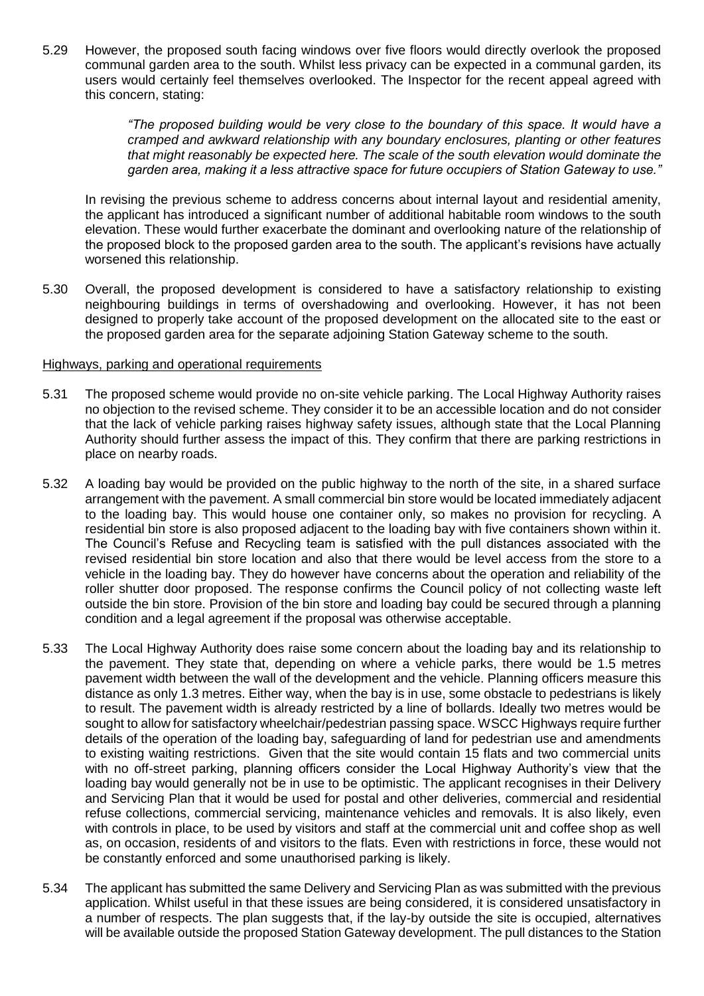5.29 However, the proposed south facing windows over five floors would directly overlook the proposed communal garden area to the south. Whilst less privacy can be expected in a communal garden, its users would certainly feel themselves overlooked. The Inspector for the recent appeal agreed with this concern, stating:

> *"The proposed building would be very close to the boundary of this space. It would have a cramped and awkward relationship with any boundary enclosures, planting or other features that might reasonably be expected here. The scale of the south elevation would dominate the garden area, making it a less attractive space for future occupiers of Station Gateway to use."*

In revising the previous scheme to address concerns about internal layout and residential amenity, the applicant has introduced a significant number of additional habitable room windows to the south elevation. These would further exacerbate the dominant and overlooking nature of the relationship of the proposed block to the proposed garden area to the south. The applicant's revisions have actually worsened this relationship.

5.30 Overall, the proposed development is considered to have a satisfactory relationship to existing neighbouring buildings in terms of overshadowing and overlooking. However, it has not been designed to properly take account of the proposed development on the allocated site to the east or the proposed garden area for the separate adjoining Station Gateway scheme to the south.

#### Highways, parking and operational requirements

- 5.31 The proposed scheme would provide no on-site vehicle parking. The Local Highway Authority raises no objection to the revised scheme. They consider it to be an accessible location and do not consider that the lack of vehicle parking raises highway safety issues, although state that the Local Planning Authority should further assess the impact of this. They confirm that there are parking restrictions in place on nearby roads.
- 5.32 A loading bay would be provided on the public highway to the north of the site, in a shared surface arrangement with the pavement. A small commercial bin store would be located immediately adjacent to the loading bay. This would house one container only, so makes no provision for recycling. A residential bin store is also proposed adjacent to the loading bay with five containers shown within it. The Council's Refuse and Recycling team is satisfied with the pull distances associated with the revised residential bin store location and also that there would be level access from the store to a vehicle in the loading bay. They do however have concerns about the operation and reliability of the roller shutter door proposed. The response confirms the Council policy of not collecting waste left outside the bin store. Provision of the bin store and loading bay could be secured through a planning condition and a legal agreement if the proposal was otherwise acceptable.
- 5.33 The Local Highway Authority does raise some concern about the loading bay and its relationship to the pavement. They state that, depending on where a vehicle parks, there would be 1.5 metres pavement width between the wall of the development and the vehicle. Planning officers measure this distance as only 1.3 metres. Either way, when the bay is in use, some obstacle to pedestrians is likely to result. The pavement width is already restricted by a line of bollards. Ideally two metres would be sought to allow for satisfactory wheelchair/pedestrian passing space. WSCC Highways require further details of the operation of the loading bay, safeguarding of land for pedestrian use and amendments to existing waiting restrictions. Given that the site would contain 15 flats and two commercial units with no off-street parking, planning officers consider the Local Highway Authority's view that the loading bay would generally not be in use to be optimistic. The applicant recognises in their Delivery and Servicing Plan that it would be used for postal and other deliveries, commercial and residential refuse collections, commercial servicing, maintenance vehicles and removals. It is also likely, even with controls in place, to be used by visitors and staff at the commercial unit and coffee shop as well as, on occasion, residents of and visitors to the flats. Even with restrictions in force, these would not be constantly enforced and some unauthorised parking is likely.
- 5.34 The applicant has submitted the same Delivery and Servicing Plan as was submitted with the previous application. Whilst useful in that these issues are being considered, it is considered unsatisfactory in a number of respects. The plan suggests that, if the lay-by outside the site is occupied, alternatives will be available outside the proposed Station Gateway development. The pull distances to the Station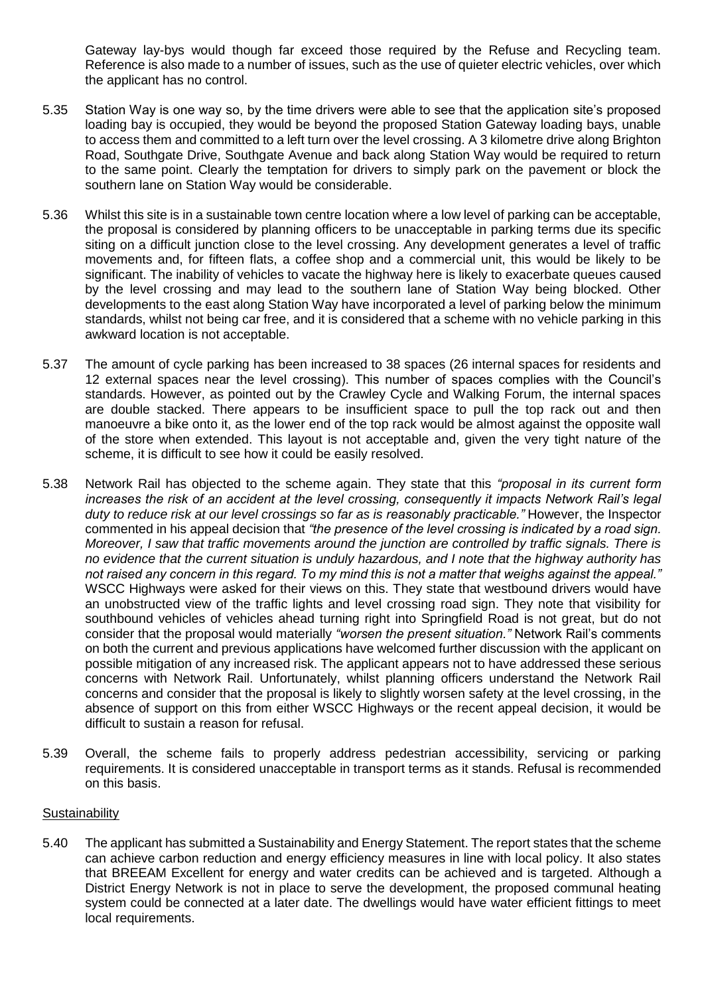Gateway lay-bys would though far exceed those required by the Refuse and Recycling team. Reference is also made to a number of issues, such as the use of quieter electric vehicles, over which the applicant has no control.

- 5.35 Station Way is one way so, by the time drivers were able to see that the application site's proposed loading bay is occupied, they would be beyond the proposed Station Gateway loading bays, unable to access them and committed to a left turn over the level crossing. A 3 kilometre drive along Brighton Road, Southgate Drive, Southgate Avenue and back along Station Way would be required to return to the same point. Clearly the temptation for drivers to simply park on the pavement or block the southern lane on Station Way would be considerable.
- 5.36 Whilst this site is in a sustainable town centre location where a low level of parking can be acceptable, the proposal is considered by planning officers to be unacceptable in parking terms due its specific siting on a difficult junction close to the level crossing. Any development generates a level of traffic movements and, for fifteen flats, a coffee shop and a commercial unit, this would be likely to be significant. The inability of vehicles to vacate the highway here is likely to exacerbate queues caused by the level crossing and may lead to the southern lane of Station Way being blocked. Other developments to the east along Station Way have incorporated a level of parking below the minimum standards, whilst not being car free, and it is considered that a scheme with no vehicle parking in this awkward location is not acceptable.
- 5.37 The amount of cycle parking has been increased to 38 spaces (26 internal spaces for residents and 12 external spaces near the level crossing). This number of spaces complies with the Council's standards. However, as pointed out by the Crawley Cycle and Walking Forum, the internal spaces are double stacked. There appears to be insufficient space to pull the top rack out and then manoeuvre a bike onto it, as the lower end of the top rack would be almost against the opposite wall of the store when extended. This layout is not acceptable and, given the very tight nature of the scheme, it is difficult to see how it could be easily resolved.
- 5.38 Network Rail has objected to the scheme again. They state that this *"proposal in its current form increases the risk of an accident at the level crossing, consequently it impacts Network Rail's legal duty to reduce risk at our level crossings so far as is reasonably practicable."* However, the Inspector commented in his appeal decision that *"the presence of the level crossing is indicated by a road sign. Moreover, I saw that traffic movements around the junction are controlled by traffic signals. There is no evidence that the current situation is unduly hazardous, and I note that the highway authority has not raised any concern in this regard. To my mind this is not a matter that weighs against the appeal."* WSCC Highways were asked for their views on this. They state that westbound drivers would have an unobstructed view of the traffic lights and level crossing road sign. They note that visibility for southbound vehicles of vehicles ahead turning right into Springfield Road is not great, but do not consider that the proposal would materially *"worsen the present situation."* Network Rail's comments on both the current and previous applications have welcomed further discussion with the applicant on possible mitigation of any increased risk. The applicant appears not to have addressed these serious concerns with Network Rail. Unfortunately, whilst planning officers understand the Network Rail concerns and consider that the proposal is likely to slightly worsen safety at the level crossing, in the absence of support on this from either WSCC Highways or the recent appeal decision, it would be difficult to sustain a reason for refusal.
- 5.39 Overall, the scheme fails to properly address pedestrian accessibility, servicing or parking requirements. It is considered unacceptable in transport terms as it stands. Refusal is recommended on this basis.

# **Sustainability**

5.40 The applicant has submitted a Sustainability and Energy Statement. The report states that the scheme can achieve carbon reduction and energy efficiency measures in line with local policy. It also states that BREEAM Excellent for energy and water credits can be achieved and is targeted. Although a District Energy Network is not in place to serve the development, the proposed communal heating system could be connected at a later date. The dwellings would have water efficient fittings to meet local requirements.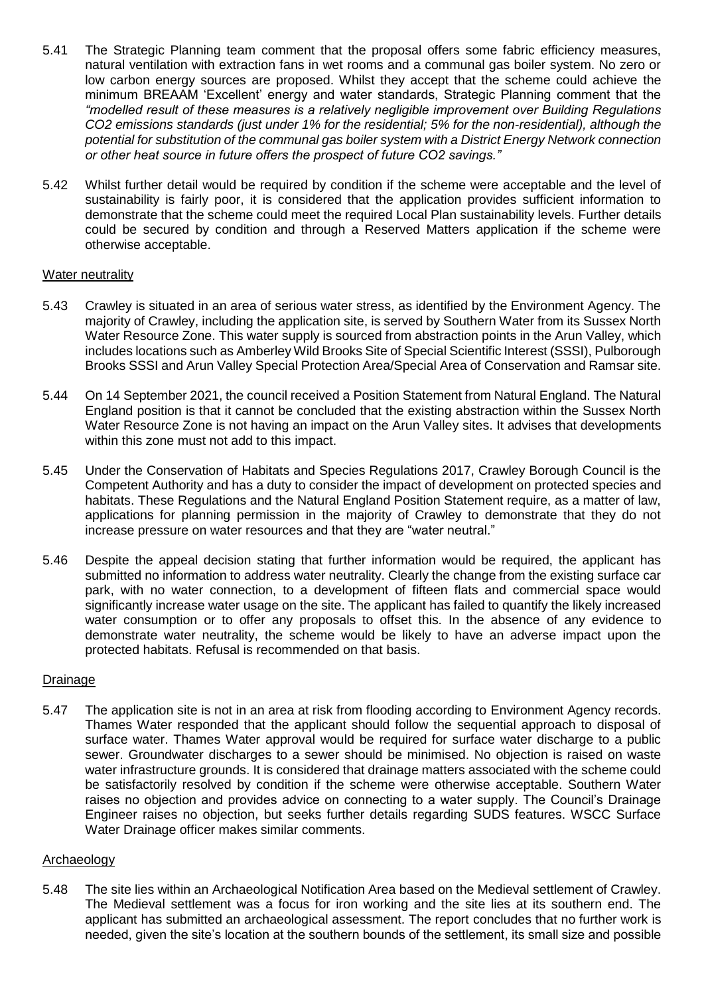- 5.41 The Strategic Planning team comment that the proposal offers some fabric efficiency measures, natural ventilation with extraction fans in wet rooms and a communal gas boiler system. No zero or low carbon energy sources are proposed. Whilst they accept that the scheme could achieve the minimum BREAAM 'Excellent' energy and water standards, Strategic Planning comment that the *"modelled result of these measures is a relatively negligible improvement over Building Regulations CO2 emissions standards (just under 1% for the residential; 5% for the non-residential), although the potential for substitution of the communal gas boiler system with a District Energy Network connection or other heat source in future offers the prospect of future CO2 savings."*
- 5.42 Whilst further detail would be required by condition if the scheme were acceptable and the level of sustainability is fairly poor, it is considered that the application provides sufficient information to demonstrate that the scheme could meet the required Local Plan sustainability levels. Further details could be secured by condition and through a Reserved Matters application if the scheme were otherwise acceptable.

# Water neutrality

- 5.43 Crawley is situated in an area of serious water stress, as identified by the Environment Agency. The majority of Crawley, including the application site, is served by Southern Water from its Sussex North Water Resource Zone. This water supply is sourced from abstraction points in the Arun Valley, which includes locations such as Amberley Wild Brooks Site of Special Scientific Interest (SSSI), Pulborough Brooks SSSI and Arun Valley Special Protection Area/Special Area of Conservation and Ramsar site.
- 5.44 On 14 September 2021, the council received a Position Statement from Natural England. The Natural England position is that it cannot be concluded that the existing abstraction within the Sussex North Water Resource Zone is not having an impact on the Arun Valley sites. It advises that developments within this zone must not add to this impact.
- 5.45 Under the Conservation of Habitats and Species Regulations 2017, Crawley Borough Council is the Competent Authority and has a duty to consider the impact of development on protected species and habitats. These Regulations and the Natural England Position Statement require, as a matter of law, applications for planning permission in the majority of Crawley to demonstrate that they do not increase pressure on water resources and that they are "water neutral."
- 5.46 Despite the appeal decision stating that further information would be required, the applicant has submitted no information to address water neutrality. Clearly the change from the existing surface car park, with no water connection, to a development of fifteen flats and commercial space would significantly increase water usage on the site. The applicant has failed to quantify the likely increased water consumption or to offer any proposals to offset this. In the absence of any evidence to demonstrate water neutrality, the scheme would be likely to have an adverse impact upon the protected habitats. Refusal is recommended on that basis.

# Drainage

5.47 The application site is not in an area at risk from flooding according to Environment Agency records. Thames Water responded that the applicant should follow the sequential approach to disposal of surface water. Thames Water approval would be required for surface water discharge to a public sewer. Groundwater discharges to a sewer should be minimised. No objection is raised on waste water infrastructure grounds. It is considered that drainage matters associated with the scheme could be satisfactorily resolved by condition if the scheme were otherwise acceptable. Southern Water raises no objection and provides advice on connecting to a water supply. The Council's Drainage Engineer raises no objection, but seeks further details regarding SUDS features. WSCC Surface Water Drainage officer makes similar comments.

#### Archaeology

5.48 The site lies within an Archaeological Notification Area based on the Medieval settlement of Crawley. The Medieval settlement was a focus for iron working and the site lies at its southern end. The applicant has submitted an archaeological assessment. The report concludes that no further work is needed, given the site's location at the southern bounds of the settlement, its small size and possible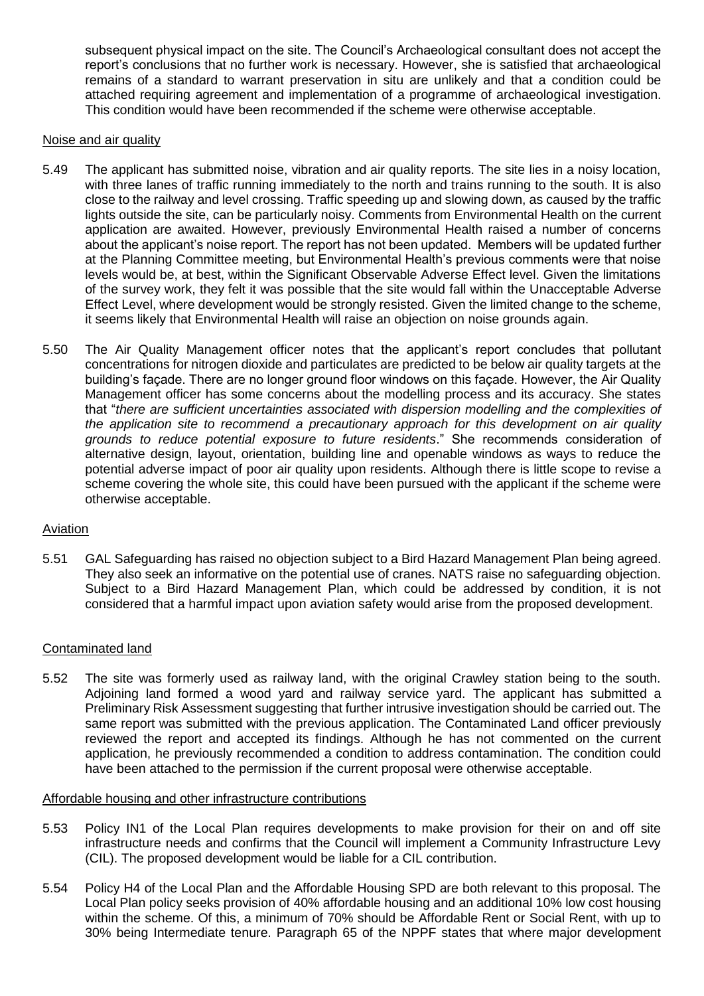subsequent physical impact on the site. The Council's Archaeological consultant does not accept the report's conclusions that no further work is necessary. However, she is satisfied that archaeological remains of a standard to warrant preservation in situ are unlikely and that a condition could be attached requiring agreement and implementation of a programme of archaeological investigation. This condition would have been recommended if the scheme were otherwise acceptable.

#### Noise and air quality

- 5.49 The applicant has submitted noise, vibration and air quality reports. The site lies in a noisy location, with three lanes of traffic running immediately to the north and trains running to the south. It is also close to the railway and level crossing. Traffic speeding up and slowing down, as caused by the traffic lights outside the site, can be particularly noisy. Comments from Environmental Health on the current application are awaited. However, previously Environmental Health raised a number of concerns about the applicant's noise report. The report has not been updated. Members will be updated further at the Planning Committee meeting, but Environmental Health's previous comments were that noise levels would be, at best, within the Significant Observable Adverse Effect level. Given the limitations of the survey work, they felt it was possible that the site would fall within the Unacceptable Adverse Effect Level, where development would be strongly resisted. Given the limited change to the scheme, it seems likely that Environmental Health will raise an objection on noise grounds again.
- 5.50 The Air Quality Management officer notes that the applicant's report concludes that pollutant concentrations for nitrogen dioxide and particulates are predicted to be below air quality targets at the building's façade. There are no longer ground floor windows on this façade. However, the Air Quality Management officer has some concerns about the modelling process and its accuracy. She states that "*there are sufficient uncertainties associated with dispersion modelling and the complexities of the application site to recommend a precautionary approach for this development on air quality grounds to reduce potential exposure to future residents*." She recommends consideration of alternative design, layout, orientation, building line and openable windows as ways to reduce the potential adverse impact of poor air quality upon residents. Although there is little scope to revise a scheme covering the whole site, this could have been pursued with the applicant if the scheme were otherwise acceptable.

# **Aviation**

5.51 GAL Safeguarding has raised no objection subject to a Bird Hazard Management Plan being agreed. They also seek an informative on the potential use of cranes. NATS raise no safeguarding objection. Subject to a Bird Hazard Management Plan, which could be addressed by condition, it is not considered that a harmful impact upon aviation safety would arise from the proposed development.

#### Contaminated land

5.52 The site was formerly used as railway land, with the original Crawley station being to the south. Adjoining land formed a wood yard and railway service yard. The applicant has submitted a Preliminary Risk Assessment suggesting that further intrusive investigation should be carried out. The same report was submitted with the previous application. The Contaminated Land officer previously reviewed the report and accepted its findings. Although he has not commented on the current application, he previously recommended a condition to address contamination. The condition could have been attached to the permission if the current proposal were otherwise acceptable.

#### Affordable housing and other infrastructure contributions

- 5.53 Policy IN1 of the Local Plan requires developments to make provision for their on and off site infrastructure needs and confirms that the Council will implement a Community Infrastructure Levy (CIL). The proposed development would be liable for a CIL contribution.
- 5.54 Policy H4 of the Local Plan and the Affordable Housing SPD are both relevant to this proposal. The Local Plan policy seeks provision of 40% affordable housing and an additional 10% low cost housing within the scheme. Of this, a minimum of 70% should be Affordable Rent or Social Rent, with up to 30% being Intermediate tenure. Paragraph 65 of the NPPF states that where major development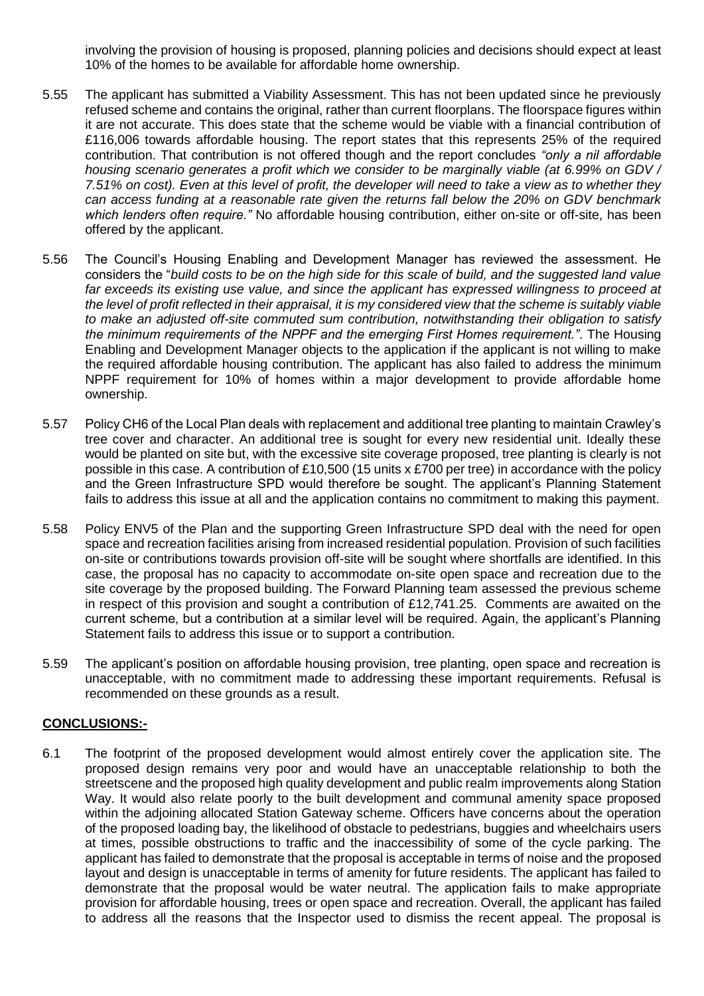involving the provision of housing is proposed, planning policies and decisions should expect at least 10% of the homes to be available for affordable home ownership.

- 5.55 The applicant has submitted a Viability Assessment. This has not been updated since he previously refused scheme and contains the original, rather than current floorplans. The floorspace figures within it are not accurate. This does state that the scheme would be viable with a financial contribution of £116,006 towards affordable housing. The report states that this represents 25% of the required contribution. That contribution is not offered though and the report concludes *"only a nil affordable housing scenario generates a profit which we consider to be marginally viable (at 6.99% on GDV / 7.51% on cost). Even at this level of profit, the developer will need to take a view as to whether they can access funding at a reasonable rate given the returns fall below the 20% on GDV benchmark which lenders often require."* No affordable housing contribution, either on-site or off-site, has been offered by the applicant.
- 5.56 The Council's Housing Enabling and Development Manager has reviewed the assessment. He considers the "*build costs to be on the high side for this scale of build, and the suggested land value far exceeds its existing use value, and since the applicant has expressed willingness to proceed at the level of profit reflected in their appraisal, it is my considered view that the scheme is suitably viable to make an adjusted off-site commuted sum contribution, notwithstanding their obligation to satisfy the minimum requirements of the NPPF and the emerging First Homes requirement."*. The Housing Enabling and Development Manager objects to the application if the applicant is not willing to make the required affordable housing contribution. The applicant has also failed to address the minimum NPPF requirement for 10% of homes within a major development to provide affordable home ownership.
- 5.57 Policy CH6 of the Local Plan deals with replacement and additional tree planting to maintain Crawley's tree cover and character. An additional tree is sought for every new residential unit. Ideally these would be planted on site but, with the excessive site coverage proposed, tree planting is clearly is not possible in this case. A contribution of £10,500 (15 units x £700 per tree) in accordance with the policy and the Green Infrastructure SPD would therefore be sought. The applicant's Planning Statement fails to address this issue at all and the application contains no commitment to making this payment.
- 5.58 Policy ENV5 of the Plan and the supporting Green Infrastructure SPD deal with the need for open space and recreation facilities arising from increased residential population. Provision of such facilities on-site or contributions towards provision off-site will be sought where shortfalls are identified. In this case, the proposal has no capacity to accommodate on-site open space and recreation due to the site coverage by the proposed building. The Forward Planning team assessed the previous scheme in respect of this provision and sought a contribution of £12,741.25. Comments are awaited on the current scheme, but a contribution at a similar level will be required. Again, the applicant's Planning Statement fails to address this issue or to support a contribution.
- 5.59 The applicant's position on affordable housing provision, tree planting, open space and recreation is unacceptable, with no commitment made to addressing these important requirements. Refusal is recommended on these grounds as a result.

# **CONCLUSIONS:-**

6.1 The footprint of the proposed development would almost entirely cover the application site. The proposed design remains very poor and would have an unacceptable relationship to both the streetscene and the proposed high quality development and public realm improvements along Station Way. It would also relate poorly to the built development and communal amenity space proposed within the adjoining allocated Station Gateway scheme. Officers have concerns about the operation of the proposed loading bay, the likelihood of obstacle to pedestrians, buggies and wheelchairs users at times, possible obstructions to traffic and the inaccessibility of some of the cycle parking. The applicant has failed to demonstrate that the proposal is acceptable in terms of noise and the proposed layout and design is unacceptable in terms of amenity for future residents. The applicant has failed to demonstrate that the proposal would be water neutral. The application fails to make appropriate provision for affordable housing, trees or open space and recreation. Overall, the applicant has failed to address all the reasons that the Inspector used to dismiss the recent appeal. The proposal is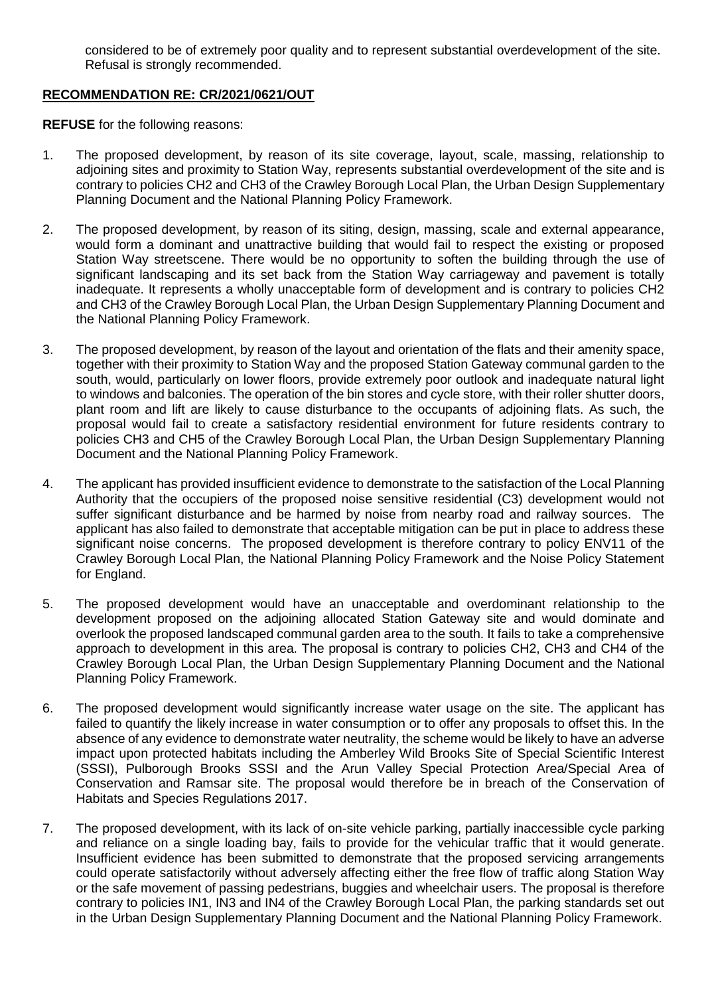considered to be of extremely poor quality and to represent substantial overdevelopment of the site. Refusal is strongly recommended.

# **RECOMMENDATION RE: CR/2021/0621/OUT**

**REFUSE** for the following reasons:

- 1. The proposed development, by reason of its site coverage, layout, scale, massing, relationship to adjoining sites and proximity to Station Way, represents substantial overdevelopment of the site and is contrary to policies CH2 and CH3 of the Crawley Borough Local Plan, the Urban Design Supplementary Planning Document and the National Planning Policy Framework.
- 2. The proposed development, by reason of its siting, design, massing, scale and external appearance, would form a dominant and unattractive building that would fail to respect the existing or proposed Station Way streetscene. There would be no opportunity to soften the building through the use of significant landscaping and its set back from the Station Way carriageway and pavement is totally inadequate. It represents a wholly unacceptable form of development and is contrary to policies CH2 and CH3 of the Crawley Borough Local Plan, the Urban Design Supplementary Planning Document and the National Planning Policy Framework.
- 3. The proposed development, by reason of the layout and orientation of the flats and their amenity space, together with their proximity to Station Way and the proposed Station Gateway communal garden to the south, would, particularly on lower floors, provide extremely poor outlook and inadequate natural light to windows and balconies. The operation of the bin stores and cycle store, with their roller shutter doors, plant room and lift are likely to cause disturbance to the occupants of adjoining flats. As such, the proposal would fail to create a satisfactory residential environment for future residents contrary to policies CH3 and CH5 of the Crawley Borough Local Plan, the Urban Design Supplementary Planning Document and the National Planning Policy Framework.
- 4. The applicant has provided insufficient evidence to demonstrate to the satisfaction of the Local Planning Authority that the occupiers of the proposed noise sensitive residential (C3) development would not suffer significant disturbance and be harmed by noise from nearby road and railway sources. The applicant has also failed to demonstrate that acceptable mitigation can be put in place to address these significant noise concerns. The proposed development is therefore contrary to policy ENV11 of the Crawley Borough Local Plan, the National Planning Policy Framework and the Noise Policy Statement for England.
- 5. The proposed development would have an unacceptable and overdominant relationship to the development proposed on the adjoining allocated Station Gateway site and would dominate and overlook the proposed landscaped communal garden area to the south. It fails to take a comprehensive approach to development in this area. The proposal is contrary to policies CH2, CH3 and CH4 of the Crawley Borough Local Plan, the Urban Design Supplementary Planning Document and the National Planning Policy Framework.
- 6. The proposed development would significantly increase water usage on the site. The applicant has failed to quantify the likely increase in water consumption or to offer any proposals to offset this. In the absence of any evidence to demonstrate water neutrality, the scheme would be likely to have an adverse impact upon protected habitats including the Amberley Wild Brooks Site of Special Scientific Interest (SSSI), Pulborough Brooks SSSI and the Arun Valley Special Protection Area/Special Area of Conservation and Ramsar site. The proposal would therefore be in breach of the Conservation of Habitats and Species Regulations 2017.
- 7. The proposed development, with its lack of on-site vehicle parking, partially inaccessible cycle parking and reliance on a single loading bay, fails to provide for the vehicular traffic that it would generate. Insufficient evidence has been submitted to demonstrate that the proposed servicing arrangements could operate satisfactorily without adversely affecting either the free flow of traffic along Station Way or the safe movement of passing pedestrians, buggies and wheelchair users. The proposal is therefore contrary to policies IN1, IN3 and IN4 of the Crawley Borough Local Plan, the parking standards set out in the Urban Design Supplementary Planning Document and the National Planning Policy Framework.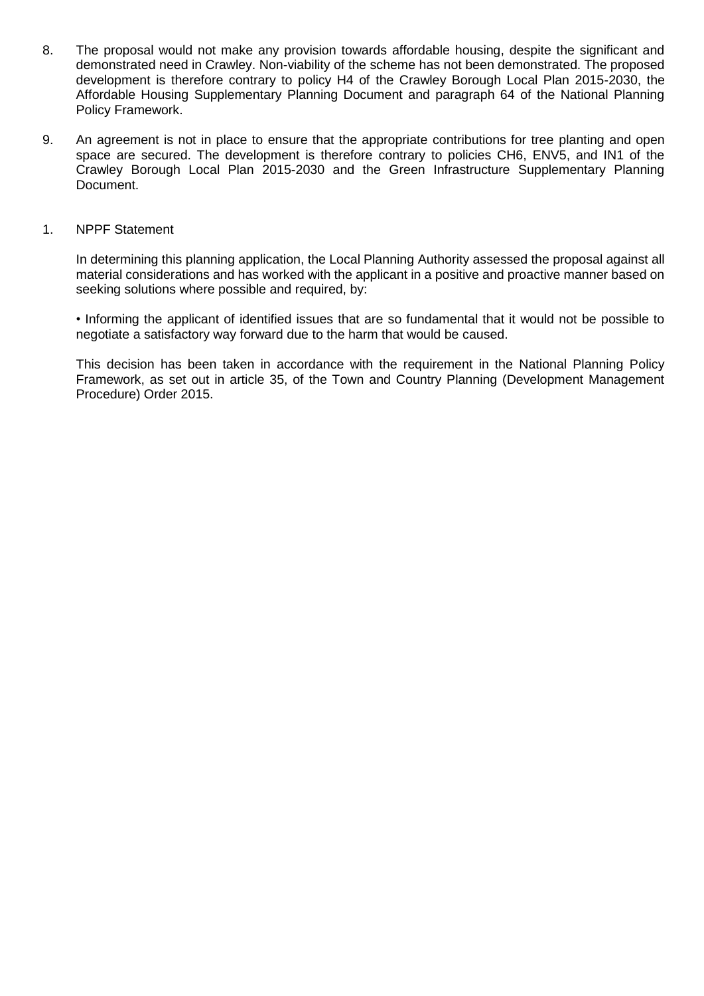- 8. The proposal would not make any provision towards affordable housing, despite the significant and demonstrated need in Crawley. Non-viability of the scheme has not been demonstrated. The proposed development is therefore contrary to policy H4 of the Crawley Borough Local Plan 2015-2030, the Affordable Housing Supplementary Planning Document and paragraph 64 of the National Planning Policy Framework.
- 9. An agreement is not in place to ensure that the appropriate contributions for tree planting and open space are secured. The development is therefore contrary to policies CH6, ENV5, and IN1 of the Crawley Borough Local Plan 2015-2030 and the Green Infrastructure Supplementary Planning Document.

#### 1. NPPF Statement

In determining this planning application, the Local Planning Authority assessed the proposal against all material considerations and has worked with the applicant in a positive and proactive manner based on seeking solutions where possible and required, by:

• Informing the applicant of identified issues that are so fundamental that it would not be possible to negotiate a satisfactory way forward due to the harm that would be caused.

This decision has been taken in accordance with the requirement in the National Planning Policy Framework, as set out in article 35, of the Town and Country Planning (Development Management Procedure) Order 2015.